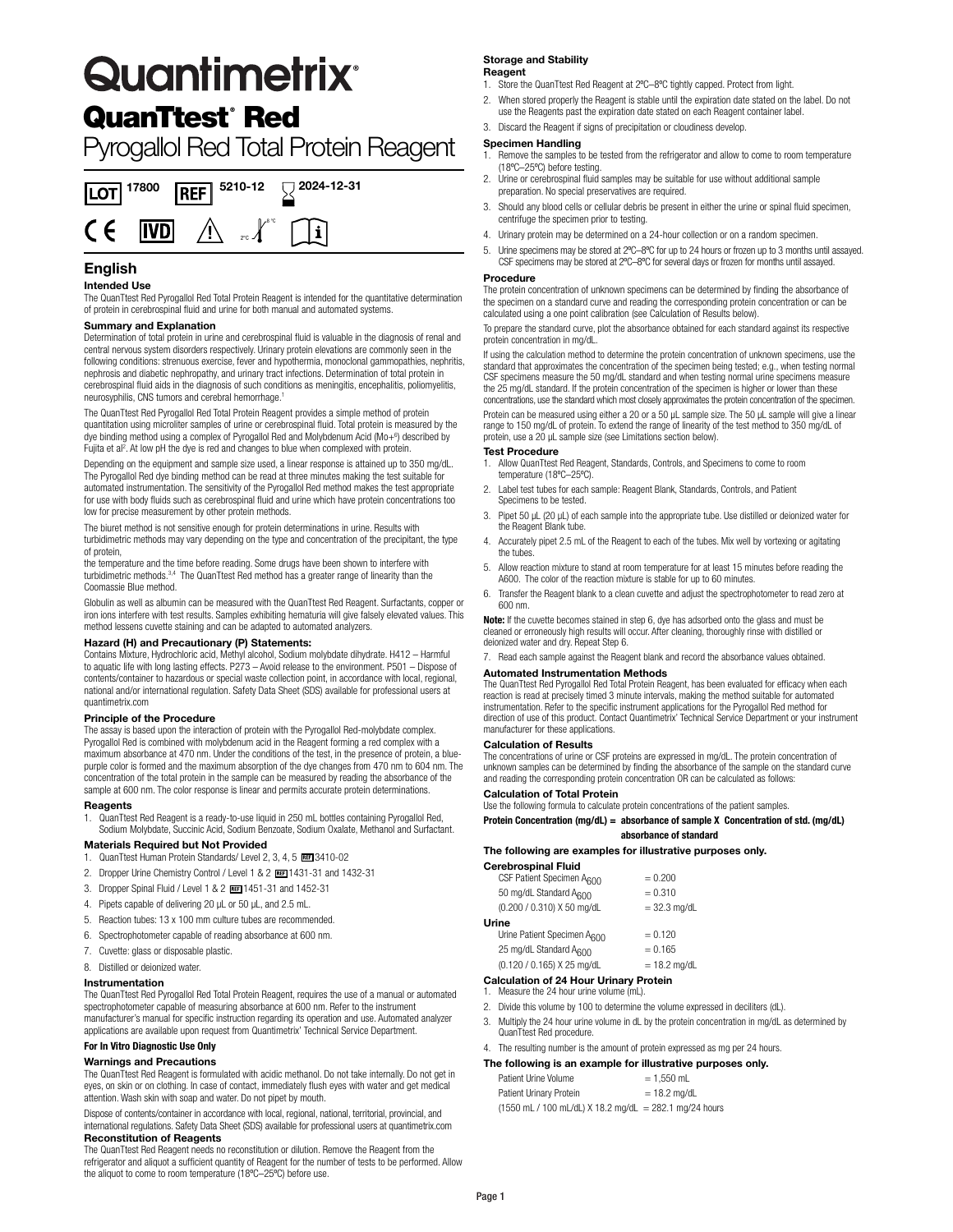# **Quantimetrix**°

# QuanTtest<sup>®</sup> Red

# Pyrogallol Red Total Protein Reagent



### **English**

### **Intended Use**

The QuanTtest Red Pyrogallol Red Total Protein Reagent is intended for the quantitative determination of protein in cerebrospinal fluid and urine for both manual and automated systems.

### **Summary and Explanation**

Determination of total protein in urine and cerebrospinal fluid is valuable in the diagnosis of renal and central nervous system disorders respectively. Urinary protein elevations are commonly seen in the following conditions: strenuous exercise, fever and hypothermia, monoclonal gammopathies, nephritis, nephrosis and diabetic nephropathy, and urinary tract infections. Determination of total protein in cerebrospinal fluid aids in the diagnosis of such conditions as meningitis, encephalitis, poliomyelitis, neurosyphilis, CNS tumors and cerebral hemorrhage.1

The QuanTtest Red Pyrogallol Red Total Protein Reagent provides a simple method of protein quantitation using microliter samples of urine or cerebrospinal fluid. Total protein is measured by the dye binding method using a complex of Pyrogallol Red and Molybdenum Acid (Mo+<sup>6</sup>) described by Fujita et al<sup>2</sup>. At low pH the dye is red and changes to blue when complexed with protein.

Depending on the equipment and sample size used, a linear response is attained up to 350 mg/dL. The Pyrogallol Red dye binding method can be read at three minutes making the test suitable for automated instrumentation. The sensitivity of the Pyrogallol Red method makes the test appropriate for use with body fluids such as cerebrospinal fluid and urine which have protein concentrations too low for precise measurement by other protein methods.

The biuret method is not sensitive enough for protein determinations in urine. Results with turbidimetric methods may vary depending on the type and concentration of the precipitant, the type of protein,

the temperature and the time before reading. Some drugs have been shown to interfere with turbidimetric methods.<sup>3,4</sup> The QuanTtest Red method has a greater range of linearity than the Coomassie Blue method.

Globulin as well as albumin can be measured with the QuanTtest Red Reagent. Surfactants, copper or iron ions interfere with test results. Samples exhibiting hematuria will give falsely elevated values. This method lessens cuvette staining and can be adapted to automated analyzers.

**Hazard (H) and Precautionary (P) Statements:** Contains Mixture, Hydrochloric acid, Methyl alcohol, Sodium molybdate dihydrate. H412 – Harmful to aquatic life with long lasting effects. P273 - Avoid release to the environment. P501 - Dispose of contents/container to hazardous or special waste collection point, in accordance with local, regional, national and/or international regulation. Safety Data Sheet (SDS) available for professional users at quantimetrix.com

### **Principle of the Procedure**

The assay is based upon the interaction of protein with the Pyrogallol Red-molybdate complex. Pyrogallol Red is combined with molybdenum acid in the Reagent forming a red complex with a maximum absorbance at 470 nm. Under the conditions of the test, in the presence of protein, a bluepurple color is formed and the maximum absorption of the dye changes from 470 nm to 604 nm. The concentration of the total protein in the sample can be measured by reading the absorbance of the sample at 600 nm. The color response is linear and permits accurate protein determinations.

### **Reagents**

1. QuanTtest Red Reagent is a ready-to-use liquid in 250 mL bottles containing Pyrogallol Red, Sodium Molybdate, Succinic Acid, Sodium Benzoate, Sodium Oxalate, Methanol and Surfactant.

### **Materials Required but Not Provided**

- 1. QuanTtest Human Protein Standards/ Level 2, 3, 4, 5 REE 3410-02
- 2. Dropper Urine Chemistry Control / Level 1 & 2 REE 1431-31 and 1432-31
- 3. Dropper Spinal Fluid / Level 1 & 2 1451-31 and 1452-31
- 4. Pipets capable of delivering 20 µL or 50 µL, and 2.5 mL.
- 5. Reaction tubes: 13 x 100 mm culture tubes are recommended.
- 6. Spectrophotometer capable of reading absorbance at 600 nm.
- 7. Cuvette: glass or disposable plastic.
- 8. Distilled or deionized water.

### **Instrumentation**

The QuanTtest Red Pyrogallol Red Total Protein Reagent, requires the use of a manual or automated spectrophotometer capable of measuring absorbance at 600 nm. Refer to the instrument manufacturer's manual for specific instruction regarding its operation and use. Automated analyzer applications are available upon request from Quantimetrix' Technical Service Department.

### **For In Vitro Diagnostic Use Only**

### **Warnings and Precautions**

The QuanTtest Red Reagent is formulated with acidic methanol. Do not take internally. Do not get in eyes, on skin or on clothing. In case of contact, immediately flush eyes with water and get medical attention. Wash skin with soap and water. Do not pipet by mouth.

Dispose of contents/container in accordance with local, regional, national, territorial, provincial, and international regulations. Safety Data Sheet (SDS) available for professional users at quantimetrix.com **Reconstitution of Reagents**

The QuanTtest Red Reagent needs no reconstitution or dilution. Remove the Reagent from the refrigerator and aliquot a sufficient quantity of Reagent for the number of tests to be performed. Allow the aliquot to come to room temperature (18ºC–25ºC) before use.

### **Storage and Stability Reagent**

- 1. Store the QuanTtest Red Reagent at 2°C-8°C tightly capped. Protect from light.
- 2. When stored properly the Reagent is stable until the expiration date stated on the label. Do not use the Reagents past the expiration date stated on each Reagent container label.
- 3. Discard the Reagent if signs of precipitation or cloudiness develop.

### **Specimen Handling**

- Remove the samples to be tested from the refrigerator and allow to come to room temperature (18ºC–25ºC) before testing.
- 2. Urine or cerebrospinal fluid samples may be suitable for use without additional sample preparation. No special preservatives are required.
- 3. Should any blood cells or cellular debris be present in either the urine or spinal fluid specimen, centrifuge the specimen prior to testing.
- 4. Urinary protein may be determined on a 24-hour collection or on a random specimen.
- 5. Urine specimens may be stored at 2ºC–8ºC for up to 24 hours or frozen up to 3 months until assayed. CSF specimens may be stored at 2ºC–8ºC for several days or frozen for months until assayed.

### **Procedure**

The protein concentration of unknown specimens can be determined by finding the absorbance of the specimen on a standard curve and reading the corresponding protein concentration or can be calculated using a one point calibration (see Calculation of Results below).

To prepare the standard curve, plot the absorbance obtained for each standard against its respective protein concentration in mg/dL.

If using the calculation method to determine the protein concentration of unknown specimens, use the standard that approximates the concentration of the specimen being tested; e.g., when testing normal CSF specimens measure the 50 mg/dL standard and when testing normal urine specimens measure the 25 mg/dL standard. If the protein concentration of the specimen is higher or lower than these concentrations, use the standard which most closely approximates the protein concentration of the specimen.

Protein can be measured using either a 20 or a 50 µL sample size. The 50 µL sample will give a linear range to 150 mg/dL of protein. To extend the range of linearity of the test method to 350 mg/dL of protein, use a 20 µL sample size (see Limitations section below).

### **Test Procedure**

- 1. Allow QuanTtest Red Reagent, Standards, Controls, and Specimens to come to room temperature (18ºC–25ºC).
- 2. Label test tubes for each sample: Reagent Blank, Standards, Controls, and Patient Specimens to be tested.
- 3. Pipet 50 µL (20 µL) of each sample into the appropriate tube. Use distilled or deionized water for the Reagent Blank tube.
- 4. Accurately pipet 2.5 mL of the Reagent to each of the tubes. Mix well by vortexing or agitating the tubes.
- 5. Allow reaction mixture to stand at room temperature for at least 15 minutes before reading the A600. The color of the reaction mixture is stable for up to 60 minutes.
- 6. Transfer the Reagent blank to a clean cuvette and adjust the spectrophotometer to read zero at 600 nm.

**Note:** If the cuvette becomes stained in step 6, dye has adsorbed onto the glass and must be cleaned or erroneously high results will occur. After cleaning, thoroughly rinse with distilled or deionized water and dry. Repeat Step 6.

7. Read each sample against the Reagent blank and record the absorbance values obtained.

### **Automated Instrumentation Methods**

The QuanTtest Red Pyrogallol Red Total Protein Reagent, has been evaluated for efficacy when each reaction is read at precisely timed 3 minute intervals, making the method suitable for automated instrumentation. Refer to the specific instrument applications for the Pyrogallol Red method for direction of use of this product. Contact Quantimetrix' Technical Service Department or your instrument manufacturer for these applications.

### **Calculation of Results**

The concentrations of urine or CSF proteins are expressed in mg/dL. The protein concentration of unknown samples can be determined by finding the absorbance of the sample on the standard curve and reading the corresponding protein concentration OR can be calculated as follows:

### **Calculation of Total Protein**

Use the following formula to calculate protein concentrations of the patient samples.

### **Protein Concentration (mg/dL) = absorbance of sample X Concentration of std. (mg/dL) absorbance of standard**

### **The following are examples for illustrative purposes only.**

| Cerebrospinal Fluid                |                |
|------------------------------------|----------------|
| CSF Patient Specimen A600          | $= 0.200$      |
| 50 mg/dL Standard A600             | $= 0.310$      |
| (0.200 / 0.310) X 50 mg/dL         | $= 32.3$ mg/dL |
| Urine                              |                |
| Urine Patient Specimen A600        | $= 0.120$      |
| 25 mg/dL Standard A <sub>600</sub> | $= 0.165$      |
| (0.120 / 0.165) X 25 mg/dL         | $= 18.2$ mg/dL |
|                                    |                |

### **Calculation of 24 Hour Urinary Protein** 1. Measure the 24 hour urine volume (mL).

- 2. Divide this volume by 100 to determine the volume expressed in deciliters (dL).
- Multiply the 24 hour urine volume in dL by the protein concentration in mg/dL as determined by QuanTtest Red procedure.
- 4. The resulting number is the amount of protein expressed as mg per 24 hours.

### **The following is an example for illustrative purposes only.**

| Patient Urine Volume                                                                                  | $= 1.550$ mL   |
|-------------------------------------------------------------------------------------------------------|----------------|
| <b>Patient Urinary Protein</b>                                                                        | $= 18.2$ mg/dL |
| $(1550 \text{ mL} / 100 \text{ mL/dL}) \times 18.2 \text{ mg/dL} = 282.1 \text{ mg}/24 \text{ hours}$ |                |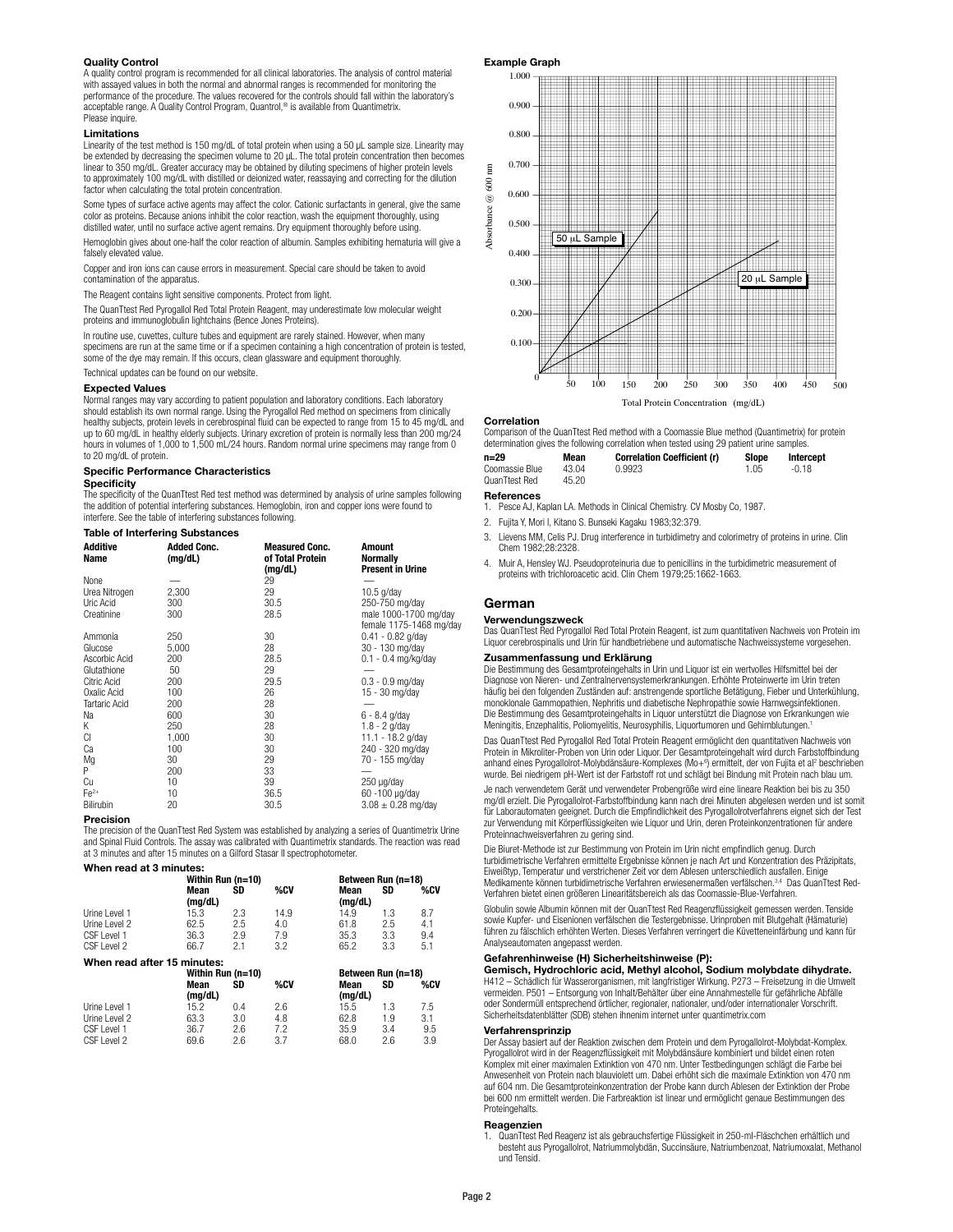### **Quality Control**

A quality control program is recommended for all clinical laboratories. The analysis of control material with assayed values in both the normal and abnormal ranges is recommended for monitoring the performance of the procedure. The values recovered for the controls should fall within the laboratory's acceptable range. A Quality Control Program, Quantrol,<sup>®</sup> is available from Quantimetrix. Please inquire.

### **Limitations**

Linearity of the test method is 150 mg/dL of total protein when using a 50 µL sample size. Linearity may be extended by decreasing the specimen volume to 20 µL. The total protein concentration then becomes linear to 350 mg/dL. Greater accuracy may be obtained by diluting specimens of higher protein levels to approximately 100 mg/dL with distilled or deionized water, reassaying and correcting for the dilution factor when calculating the total protein concentration.

Some types of surface active agents may affect the color. Cationic surfactants in general, give the same color as proteins. Because anions inhibit the color reaction, wash the equipment thoroughly, using distilled water, until no surface active agent remains. Dry equipment thoroughly before using.

Hemoglobin gives about one-half the color reaction of albumin. Samples exhibiting hematuria will give a falsely elevated value.

Copper and iron ions can cause errors in measurement. Special care should be taken to avoid contamination of the apparatus.

The Reagent contains light sensitive components. Protect from light.

The QuanTtest Red Pyrogallol Red Total Protein Reagent, may underestimate low molecular weight proteins and immunoglobulin lightchains (Bence Jones Proteins).

In routine use, cuvettes, culture tubes and equipment are rarely stained. However, when many specimens are run at the same time or if a specimen containing a high concentration of protein is tested. some of the dye may remain. If this occurs, clean glassware and equipment thoroughly.

Technical updates can be found on our website.

### **Expected Values**

Normal ranges may vary according to patient population and laboratory conditions. Each laboratory should establish its own normal range. Using the Pyrogallol Red method on specimens from clinically healthy subjects, protein levels in cerebrospinal fluid can be expected to range from 15 to 45 mg/dL and up to 60 mg/dL in healthy elderly subjects. Urinary excretion of protein is normally less than 200 mg/24 hours in volumes of 1,000 to 1,500 mL/24 hours. Random normal urine specimens may range from 0 to 20 mg/dL of protein.

### **Specific Performance Characteristics**

### **Specificity**

The specificity of the QuanTtest Red test method was determined by analysis of urine samples following the addition of potential interfering substances. Hemoglobin, iron and copper ions were found to interfere. See the table of interfering substances following.

### **Table of Interfering Substances**

| <b>Additive</b><br>Name | <b>Added Conc.</b><br>(mg/dL) | <b>Measured Conc.</b><br>of Total Protein<br>(mg/dL) | <b>Amount</b><br><b>Normally</b><br><b>Present in Urine</b> |
|-------------------------|-------------------------------|------------------------------------------------------|-------------------------------------------------------------|
| None                    |                               | 29                                                   |                                                             |
| Urea Nitrogen           | 2,300                         | 29                                                   | $10.5$ g/day                                                |
| Uric Acid               | 300                           | 30.5                                                 | 250-750 mg/day                                              |
| Creatinine              | 300                           | 28.5                                                 | male 1000-1700 mg/day                                       |
|                         |                               |                                                      | female 1175-1468 mg/day                                     |
| Ammonia                 | 250                           | 30                                                   | $0.41 - 0.82$ g/day                                         |
| Glucose                 | 5,000                         | 28                                                   | 30 - 130 mg/day                                             |
| Ascorbic Acid           | 200                           | 28.5                                                 | $0.1 - 0.4$ mg/kg/day                                       |
| Glutathione             | 50                            | 29                                                   |                                                             |
| Citric Acid             | 200                           | 29.5                                                 | $0.3 - 0.9$ mg/day                                          |
| Oxalic Acid             | 100                           | 26                                                   | 15 - 30 mg/day                                              |
| <b>Tartaric Acid</b>    | 200                           | 28                                                   |                                                             |
| Na                      | 600                           | 30                                                   | $6 - 8.4$ g/day                                             |
| Κ                       | 250                           | 28                                                   | $1.8 - 2$ g/day                                             |
| СI                      | 1,000                         | 30                                                   | 11.1 - 18.2 g/day                                           |
| Ca                      | 100                           | 30                                                   | 240 - 320 mg/day                                            |
| Mg                      | 30                            | 29                                                   | 70 - 155 mg/day                                             |
| P                       | 200                           | 33                                                   |                                                             |
| Cu                      | 10                            | 39                                                   | $250 \mu g/day$                                             |
| $Fe2+$                  | 10                            | 36.5                                                 | 60 -100 µg/day                                              |
| Bilirubin               | 20                            | 30.5                                                 | $3.08 \pm 0.28$ mg/day                                      |

### **Precision**

The precision of the QuanTtest Red System was established by analyzing a series of Quantimetrix Urine and Spinal Fluid Controls. The assay was calibrated with Quantimetrix standards. The reaction was read at 3 minutes and after 15 minutes on a Gilford Stasar II spectrophotometer.

### **When read at 3 minutes:**

|                             |                 | Within Run (n=10) |      |                 | Between Run (n=18) |     |  |
|-----------------------------|-----------------|-------------------|------|-----------------|--------------------|-----|--|
|                             | Mean<br>(mq/dL) | SD                | %CV  | Mean<br>(mq/dL) | SD                 | %CV |  |
| Urine I evel 1              | 15.3            | 2.3               | 14.9 | 14.9            | 1.3                | 8.7 |  |
| Urine Level 2               | 62.5            | 2.5               | 4.0  | 61.8            | 2.5                | 4.1 |  |
| CSF Level 1                 | 36.3            | 2.9               | 7.9  | 35.3            | 3.3                | 9.4 |  |
| CSF Level 2                 | 66.7            | 2.1               | 3.2  | 65.2            | 3.3                | 5.1 |  |
| When read after 15 minutes: |                 |                   |      |                 |                    |     |  |
|                             |                 | Within Run (n=10) |      |                 | Between Run (n=18) |     |  |
|                             | Mean<br>.       | SD                | %CV  | Mean<br>.  .    | SD                 | %CV |  |

|               | Mean<br>(ma/dL) | SD  | %CV | Mean<br>(ma/dL) | SD  | %CV |
|---------------|-----------------|-----|-----|-----------------|-----|-----|
| Urine Level 1 | 15.2            | 0.4 | 2.6 | 15.5            | 1.3 | 7.5 |
| Urine Level 2 | 63.3            | 3.0 | 4.8 | 62.8            | 1.9 | 3.1 |
| CSF Level 1   | 36.7            | 2.6 | 7.2 | 35.9            | 3.4 | 9.5 |
| CSF Level 2   | 69.6            | 2.6 | 3.7 | 68.0            | 2.6 | 3.9 |

### **Example Graph**



### **Correlation**

Absorbance @ 600 nm

Absorbance  $@$ 

 $\mathbf{g}$  $600$ 

Comparison of the QuanTtest Red method with a Coomassie Blue method (Quantimetrix) for protein determination gives the following correlation when tested using 29 patient urine samples.

| n=29           | Mean  | <b>Correlation Coefficient (r)</b> | <b>Slope</b> | Intercept |
|----------------|-------|------------------------------------|--------------|-----------|
| Coomassie Blue | 43.04 | 0.9923                             | 1.05         | -0.18     |
| QuanTtest Red  | 45.20 |                                    |              |           |

### **References**

- 1. Pesce AJ, Kaplan LA. Methods in Clinical Chemistry. CV Mosby Co, 1987.
- 2. Fujita Y, Mori I, Kitano S. Bunseki Kagaku 1983;32:379.
- 3. Lievens MM, Celis PJ. Drug interference in turbidimetry and colorimetry of proteins in urine. Clin Chem 1982;28:2328.
- 4. Muir A, Hensley WJ. Pseudoproteinuria due to penicillins in the turbidimetric measurement of proteins with trichloroacetic acid. Clin Chem 1979;25:1662-1663.

### **German**

### **Verwendungszweck**

Das QuanTtest Red Pyrogallol Red Total Protein Reagent, ist zum quantitativen Nachweis von Protein im Liquor cerebrospinalis und Urin für handbetriebene und automatische Nachweissysteme vorgesehen.

### **Zusammenfassung und Erklärung**

Die Bestimmung des Gesamtproteingehalts in Urin und Liquor ist ein wertvolles Hilfsmittel bei der Diagnose von Nieren- und Zentralnervensystemerkrankungen. Erhöhte Proteinwerte im Urin treten häufig bei den folgenden Zuständen auf: anstrengende sportliche Betätigung, Fieber und Unterkühlung, monoklonale Gammopathien, Nephritis und diabetische Nephropathie sowie Harnwegsinfektionen. Die Bestimmung des Gesamtproteingehalts in Liquor unterstützt die Diagnose von Erkrankungen wie Meningitis, Enzephalitis, Poliomyelitis, Neurosyphilis, Liquortumoren und Gehirnblutungen.1

Das QuanTtest Red Pyrogallol Red Total Protein Reagent ermöglicht den quantitativen Nachweis von Protein in Mikroliter-Proben von Urin oder Liquor. Der Gesamtproteingehalt wird durch Farbstoffbindung anhand eines Pyrogallolrot-Molybdänsäure-Komplexes (Mo+<sup>6</sup>) ermittelt, der von Fujita et al<sup>2</sup> beschrieben wurde. Bei niedrigem pH-Wert ist der Farbstoff rot und schlägt bei Bindung mit Protein nach blau um.

Je nach verwendetem Gerät und verwendeter Probengröße wird eine lineare Reaktion bei bis zu 350 mg/dl erzielt. Die Pyrogallolrot-Farbstoffbindung kann nach drei Minuten abgelesen werden und ist somit für Laborautomaten geeignet. Durch die Empfindlichkeit des Pyrogallolrotverfahrens eignet sich der Test zur Verwendung mit Körperflüssigkeiten wie Liquor und Urin, deren Proteinkonzentrationen für andere Proteinnachweisverfahren zu gering sind.

Die Biuret-Methode ist zur Bestimmung von Protein im Urin nicht empfindlich genug. Durch turbidimetrische Verfahren ermittelte Ergebnisse können je nach Art und Konzentration des Präzipitats, Eiweißtyp, Temperatur und verstrichener Zeit vor dem Ablesen unterschiedlich ausfallen. Einige Medikamente können turbidimetrische Verfahren erwiesenermaßen verfälschen.3,4 Das QuanTtest Red-Verfahren bietet einen größeren Linearitätsbereich als das Coomassie-Blue-Verfahren.

Globulin sowie Albumin können mit der QuanTtest Red Reagenzflüssigkeit gemessen werden. Tenside sowie Kupfer- und Eisenionen verfälschen die Testergebnisse. Urinproben mit Blutgehalt (Hämaturie) führen zu fälschlich erhöhten Werten. Dieses Verfahren verringert die Küvetteneinfärbung und kann für Analyseautomaten angepasst werden.

### **Gefahrenhinweise (H) Sicherheitshinweise (P):**

**Gemisch, Hydrochloric acid, Methyl alcohol, Sodium molybdate dihydrate.**  H412 – Schädlich für Wasserorganismen, mit langfristiger Wirkung. P273 – Freisetzung in die Umwelt vermeiden. P501 – Entsorgung von Inhalt/Behälter über eine Annahmestelle für gefährliche Abfälle oder Sondermüll entsprechend örtlicher, regionaler, nationaler, und/oder internationaler Vorschrift. Sicherheitsdatenblätter (SDB) stehen ihnenim internet unter quantimetrix.com

### **Verfahrensprinzip**

Der Assay basiert auf der Reaktion zwischen dem Protein und dem Pyrogallolrot-Molybdat-Komplex. Pyrogallolrot wird in der Reagenzflüssigkeit mit Molybdänsäure kombiniert und bildet einen roten Komplex mit einer maximalen Extinktion von 470 nm. Unter Testbedingungen schlägt die Farbe bei Anwesenheit von Protein nach blauviolett um. Dabei erhöht sich die maximale Extinktion von 470 nm auf 604 nm. Die Gesamtproteinkonzentration der Probe kann durch Ablesen der Extinktion der Probe bei 600 nm ermittelt werden. Die Farbreaktion ist linear und ermöglicht genaue Bestimmungen des Proteingehalts.

### **Reagenzien**

1. QuanTtest Red Reagenz ist als gebrauchsfertige Flüssigkeit in 250-ml-Fläschchen erhältlich und besteht aus Pyrogallolrot, Natriummolybdän, Succinsäure, Natriumbenzoat, Natriumoxalat, Methanol und Tensid.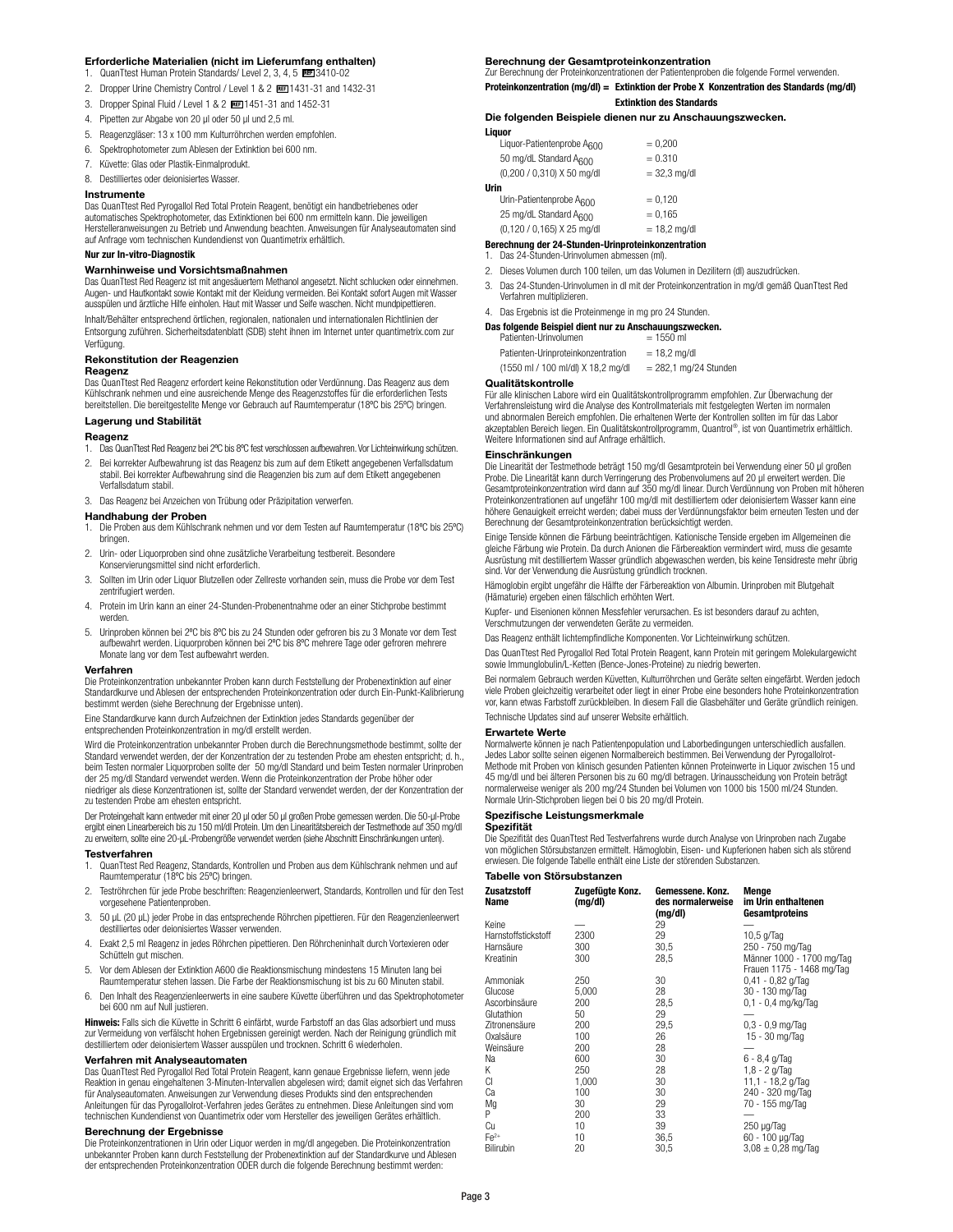### **Erforderliche Materialien (nicht im Lieferumfang enthalten)**

- 1. QuanTtest Human Protein Standards/ Level 2, 3, 4, 5 BEE 3410-02
- 2. Dropper Urine Chemistry Control / Level 1 & 2 BB 1431-31 and 1432-31
- 3. Dropper Spinal Fluid / Level 1 & 2 1451-31 and 1452-31
- 4. Pipetten zur Abgabe von 20 µl oder 50 µl und 2,5 ml.
- 5. Reagenzgläser: 13 x 100 mm Kulturröhrchen werden empfohlen.
- 6. Spektrophotometer zum Ablesen der Extinktion bei 600 nm.
- 7. Küvette: Glas oder Plastik-Einmalprodukt.
- 8. Destilliertes oder deionisiertes Wasser.

### **Instrumente**

Das QuanTtest Red Pyrogallol Red Total Protein Reagent, benötigt ein handbetriebenes oder automatisches Spektrophotometer, das Extinktionen bei 600 nm ermitteln kann. Die jeweiligen Herstelleranweisungen zu Betrieb und Anwendung beachten. Anweisungen für Analyseautomaten sind auf Anfrage vom technischen Kundendienst von Quantimetrix erhältlich.

### **Nur zur In-vitro-Diagnostik**

### **Warnhinweise und Vorsichtsmaßnahmen**

Das QuanTtest Red Reagenz ist mit angesäuertem Methanol angesetzt. Nicht schlucken oder einnehmen. Augen- und Hautkontakt sowie Kontakt mit der Kleidung vermeiden. Bei Kontakt sofort Augen mit Wasser ausspülen und ärztliche Hilfe einholen. Haut mit Wasser und Seife waschen. Nicht mundpipettieren.

Inhalt/Behälter entsprechend örtlichen, regionalen, nationalen und internationalen Richtlinien der Entsorgung zuführen. Sicherheitsdatenblatt (SDB) steht ihnen im Internet unter quantimetrix.com zur Verfügung.

### **Rekonstitution der Reagenzien**

### **Reagenz**

Das QuanTtest Red Reagenz erfordert keine Rekonstitution oder Verdünnung. Das Reagenz aus dem Kühlschrank nehmen und eine ausreichende Menge des Reagenzstoffes für die erforderlichen Tests bereitstellen. Die bereitgestellte Menge vor Gebrauch auf Raumtemperatur (18ºC bis 25ºC) bringen.

### **Lagerung und Stabilität**

- **Reagenz** 1. Das QuanTtest Red Reagenz bei 2ºC bis 8ºC fest verschlossen aufbewahren. Vor Lichteinwirkung schützen.
- 2. Bei korrekter Aufbewahrung ist das Reagenz bis zum auf dem Etikett angegebenen Verfallsdatum stabil. Bei korrekter Aufbewahrung sind die Reagenzien bis zum auf dem Etikett angegebenen Verfallsdatum stabil.
- 3. Das Reagenz bei Anzeichen von Trübung oder Präzipitation verwerfen.

### **Handhabung der Proben**

- 1. Die Proben aus dem Kühlschrank nehmen und vor dem Testen auf Raumtemperatur (18ºC bis 25ºC) bringen.
- 2. Urin- oder Liquorproben sind ohne zusätzliche Verarbeitung testbereit. Besondere Konservierungsmittel sind nicht erforderlich.
- 3. Sollten im Urin oder Liquor Blutzellen oder Zellreste vorhanden sein, muss die Probe vor dem Test zentrifugiert werden.
- 4. Protein im Urin kann an einer 24-Stunden-Probenentnahme oder an einer Stichprobe bestimmt werden.
- 5. Urinproben können bei 2ºC bis 8ºC bis zu 24 Stunden oder gefroren bis zu 3 Monate vor dem Test aufbewahrt werden. Liquorproben können bei 2ºC bis 8ºC mehrere Tage oder gefroren mehrere Monate lang vor dem Test aufbewahrt werden.

### **Verfahren**

Die Proteinkonzentration unbekannter Proben kann durch Feststellung der Probenextinktion auf einer Standardkurve und Ablesen der entsprechenden Proteinkonzentration oder durch Ein-Punkt-Kalibrierung bestimmt werden (siehe Berechnung der Ergebnisse unten).

Eine Standardkurve kann durch Aufzeichnen der Extinktion jedes Standards gegenüber der entsprechenden Proteinkonzentration in mg/dl erstellt werden.

Wird die Proteinkonzentration unbekannter Proben durch die Berechnungsmethode bestimmt, sollte der<br>Standard verwendet werden, der der Konzentration der zu testenden Probe am ehesten entspricht; d. h., beim Testen normaler Liquorproben sollte der 50 mg/dl Standard und beim Testen normaler Urinproben der 25 mg/dl Standard verwendet werden. Wenn die Proteinkonzentration der Probe höher oder niedriger als diese Konzentrationen ist, sollte der Standard verwendet werden, der der Konzentration der zu testenden Probe am ehesten entspricht.

Der Proteingehalt kann entweder mit einer 20 µl oder 50 µl großen Probe gemessen werden. Die 50-µl-Probe ergibt einen Linearbereich bis zu 150 ml/dl Protein. Um den Linearitätsbereich der Testmethode auf 350 mg/dl

zu erweitern, sollte eine 20-µL-Probengröße verwendet werden (siehe Abschnitt Einschränkungen unten). **Testverfahren**

- 1. QuanTtest Red Reagenz, Standards, Kontrollen und Proben aus dem Kühlschrank nehmen und auf Raumtemperatur (18ºC bis 25ºC) bringen.
- 2. Teströhrchen für jede Probe beschriften: Reagenzienleerwert, Standards, Kontrollen und für den Test vorgesehene Patientenproben.
- 3. 50 µL (20 µL) jeder Probe in das entsprechende Röhrchen pipettieren. Für den Reagenzienleerwert destilliertes oder deionisiertes Wasser verwenden.
- 4. Exakt 2,5 ml Reagenz in jedes Röhrchen pipettieren. Den Röhrcheninhalt durch Vortexieren oder Schütteln gut mischen.
- 5. Vor dem Ablesen der Extinktion A600 die Reaktionsmischung mindestens 15 Minuten lang bei Raumtemperatur stehen lassen. Die Farbe der Reaktionsmischung ist bis zu 60 Minuten stabil.
- 6. Den Inhalt des Reagenzienleerwerts in eine saubere Küvette überführen und das Spektrophotometer bei 600 nm auf Null justieren.

**Hinweis:** Falls sich die Küvette in Schritt 6 einfärbt, wurde Farbstoff an das Glas adsorbiert und muss zur Vermeidung von verfälscht hohen Ergebnissen gereinigt werden. Nach der Reinigung gründlich mit destilliertem oder deionisiertem Wasser ausspülen und trocknen. Schritt 6 wiederholen.

### **Verfahren mit Analyseautomaten**

Das QuanTtest Red Pyrogallol Red Total Protein Reagent, kann genaue Ergebnisse liefern, wenn jede Reaktion in genau eingehaltenen 3-Minuten-Intervallen abgelesen wird; damit eignet sich das Verfahren<br>für Analyseautomaten. Anweisungen zur Verwendung dieses Produkts sind den entsprechenden<br>Anleitungen für das Pyrogallolr technischen Kundendienst von Quantimetrix oder vom Hersteller des jeweiligen Gerätes erhältlich.

**Berechnung der Ergebnisse** Die Proteinkonzentrationen in Urin oder Liquor werden in mg/dl angegeben. Die Proteinkonzentration unbekannter Proben kann durch Feststellung der Probenextinktion auf der Standardkurve und Ablesen der entsprechenden Proteinkonzentration ODER durch die folgende Berechnung bestimmt werden:

### **Berechnung der Gesamtproteinkonzentration**

Zur Berechnung der Proteinkonzentrationen der Patientenproben die folgende Formel verwenden. **Proteinkonzentration (mg/dl) = Extinktion der Probe X Konzentration des Standards (mg/dl)**

### **Extinktion des Standards**

# **Die folgenden Beispiele dienen nur zu Anschauungszwecken.**

| Liguor                             |                |
|------------------------------------|----------------|
| Liquor-Patientenprobe AROO         | $= 0,200$      |
| 50 mg/dL Standard A <sub>600</sub> | $= 0.310$      |
| (0,200 / 0,310) X 50 mg/dl         | $= 32.3$ mg/dl |
| Urin                               |                |
| Urin-Patientenprobe A600           | $= 0,120$      |
| 25 mg/dL Standard A <sub>600</sub> | $= 0.165$      |

### $(0,120 / 0,165)$  X 25 mg/dl  $= 18,2$  mg/dl

# **Berechnung der 24-Stunden-Urinproteinkonzentration** 1. Das 24-Stunden-Urinvolumen abmessen (ml).

- 
- 2. Dieses Volumen durch 100 teilen, um das Volumen in Dezilitern (dl) auszudrücken.
- 3. Das 24-Stunden-Urinvolumen in dl mit der Proteinkonzentration in mg/dl gemäß QuanTtest Red Verfahren multiplizieren.

### 4. Das Ergebnis ist die Proteinmenge in mg pro 24 Stunden.

| Das folgende Beispiel dient nur zu Anschauungszwecken. |                        |
|--------------------------------------------------------|------------------------|
| Patienten-Urinvolumen                                  | $= 1550$ ml            |
| Patienten-Urinproteinkonzentration                     | $= 18.2$ ma/dl         |
| (1550 ml / 100 ml/dl) X 18,2 mg/dl                     | $= 282.1$ mg/24 Stunde |

### **Qualitätskontrolle**

Für alle klinischen Labore wird ein Qualitätskontrollprogramm empfohlen. Zur Überwachung der Verfahrensleistung wird die Analyse des Kontrollmaterials mit festgelegten Werten im normale und abnormalen Bereich empfohlen. Die erhaltenen Werte der Kontrollen sollten im für das Labor<br>akzeptablen Bereich liegen. Ein Qualitätskontrollprogramm, Quantrol®, ist von Quantimetrix erhältlich. Weitere Informationen sind auf Anfrage erhältlich.

### **Einschränkungen**

Die Linearität der Testmethode beträgt 150 mg/dl Gesamtprotein bei Verwendung einer 50 µl großen<br>Probe. Die Linearität kann durch Verringerung des Probenvolumens auf 20 µl erweitert werden. Die<br>Gesamtproteinkonzentration w Proteinkonzentrationen auf ungefähr 100 mg/dl mit destilliertem oder deionisiertem Wasser kann eine höhere Genauigkeit erreicht werden; dabei muss der Verdünnungsfaktor beim erneuten Testen und der Berechnung der Gesamtproteinkonzentration berücksichtigt werden.

Einige Tenside können die Färbung beeinträchtigen. Kationische Tenside ergeben im Allgemeinen die gleiche Färbung wie Protein. Da durch Anionen die Färbereaktion vermindert wird, muss die gesamte<br>Ausrüstung mit destilliertem Wasser gründlich abgewaschen werden, bis keine Tensidreste mehr übrig<br>sind. Vor der Verwendung

Hämoglobin ergibt ungefähr die Hälfte der Färbereaktion von Albumin. Urinproben mit Blutgehalt (Hämaturie) ergeben einen fälschlich erhöhten Wert.

Kupfer- und Eisenionen können Messfehler verursachen. Es ist besonders darauf zu achten, Verschmutzungen der verwendeten Geräte zu vermeiden.

Das Reagenz enthält lichtempfindliche Komponenten. Vor Lichteinwirkung schützen.

Das QuanTtest Red Pyrogallol Red Total Protein Reagent, kann Protein mit geringem Molekulargewicht sowie Immunglobulin/L-Ketten (Bence-Jones-Proteine) zu niedrig bewerten.

Bei normalem Gebrauch werden Küvetten, Kulturröhrchen und Geräte selten eingefärbt. Werden jedoch viele Proben gleichzeitig verarbeitet oder liegt in einer Probe eine besonders hohe Proteinkonzentration vor, kann etwas Farbstoff zurückbleiben. In diesem Fall die Glasbehälter und Geräte gründlich reinigen. Technische Updates sind auf unserer Website erhältlich.

### **Erwartete Werte**

Normalwerte können je nach Patientenpopulation und Laborbedingungen unterschiedlich ausfallen. Jedes Labor sollte seinen eigenen Normalbereich bestimmen. Bei Verwendung der Pyrogallolrot-Methode mit Proben von klinisch gesunden Patienten können Proteinwerte in Liquor zwischen 15 und 45 mg/dl und bei älteren Personen bis zu 60 mg/dl betragen. Urinausscheidung von Protein beträgt normalerweise weniger als 200 mg/24 Stunden bei Volumen von 1000 bis 1500 ml/24 Stunden. Normale Urin-Stichproben liegen bei 0 bis 20 mg/dl Protein.

### **Spezifische Leistungsmerkmale**

### **Spezifität**

Die Spezifität des QuanTtest Red Testverfahrens wurde durch Analyse von Urinproben nach Zugabe von möglichen Störsubstanzen ermittelt. Hämoglobin, Eisen- und Kupferionen haben sich als störend erwiesen. Die folgende Tabelle enthält eine Liste der störenden Substanzen.

### **Tabelle von Störsubstanzen**

| <b>Zusatzstoff</b><br>Name | Zugefügte Konz.<br>(mg/dl) | Gemessene. Konz.<br>des normalerweise<br>(mg/dl) | Menge<br>im Urin enthaltenen<br>Gesamtproteins         |
|----------------------------|----------------------------|--------------------------------------------------|--------------------------------------------------------|
| Keine                      |                            | 29                                               |                                                        |
| Harnstoffstickstoff        | 2300                       | 29                                               | $10.5$ q/Taq                                           |
| Harnsäure                  | 300                        | 30,5                                             | 250 - 750 mg/Tag                                       |
| Kreatinin                  | 300                        | 28,5                                             | Männer 1000 - 1700 mg/Tag<br>Frauen 1175 - 1468 mg/Tag |
| Ammoniak                   | 250                        | 30                                               | $0.41 - 0.82$ g/Tag                                    |
| Glucose                    | 5,000                      | 28                                               | 30 - 130 mg/Tag                                        |
| Ascorbinsäure              | 200                        | 28,5                                             | 0.1 - 0,4 mg/kg/Tag                                    |
| Glutathion                 | 50                         | 29                                               |                                                        |
| Zitronensäure              | 200                        | 29,5                                             | $0.3 - 0.9$ mg/Tag                                     |
| Oxalsäure                  | 100                        | 26                                               | 15 - 30 mg/Tag                                         |
| Weinsäure                  | 200                        | 28                                               |                                                        |
| Na                         | 600                        | 30                                               | $6 - 8,4$ g/Tag                                        |
| Κ                          | 250                        | 28                                               | $1,8 - 2$ g/Tag                                        |
| CI                         | 1,000                      | 30                                               | 11,1 - 18,2 g/Tag                                      |
| Ca                         | 100                        | 30                                               | 240 - 320 mg/Tag                                       |
| Mq                         | 30                         | 29                                               | 70 - 155 mg/Tag                                        |
| P                          | 200                        | 33                                               |                                                        |
| Cu                         | 10                         | 39                                               | $250 \mu g$ Tag                                        |
| $Fe2+$                     | 10                         | 36,5                                             | 60 - 100 µg/Tag                                        |
| Bilirubin                  | 20                         | 30,5                                             | $3.08 \pm 0.28$ mg/Tag                                 |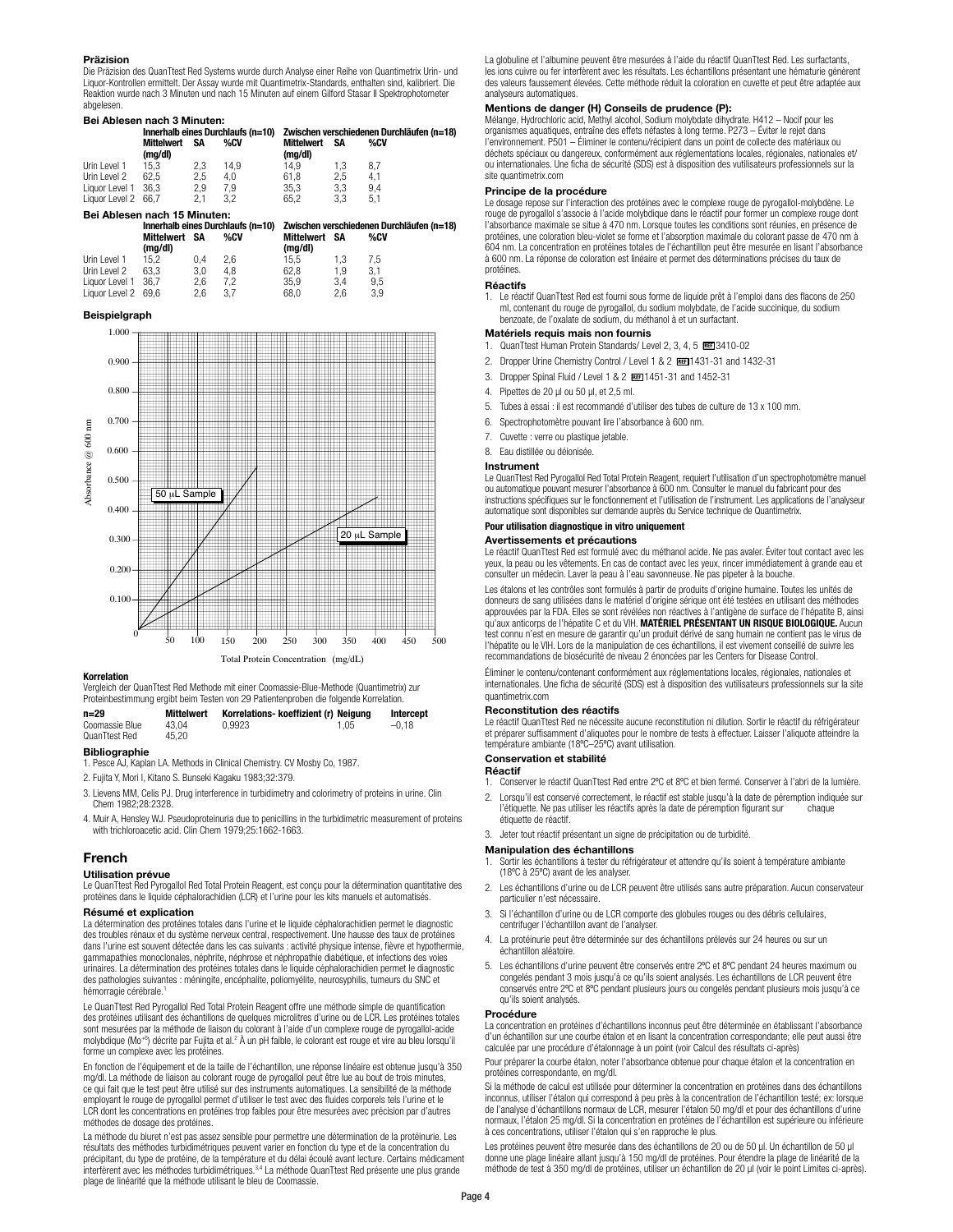### **Präzision**

Die Präzision des QuanTtest Red Systems wurde durch Analyse einer Reihe von Quantimetrix Urin- und Liquor-Kontrollen ermittelt. Der Assay wurde mit Quantimetrix-Standards, enthalten sind, kalibriert. Die Reaktion wurde nach 3 Minuten und nach 15 Minuten auf einem Gilford Stasar II Spektrophotometer abgelesen.

### **Bei Ablesen nach 3 Minuten:**

|                              | Innerhalb eines Durchlaufs (n=10) |     |      | Zwischen verschiedenen Durchläufen (n=18) |     |     |  |
|------------------------------|-----------------------------------|-----|------|-------------------------------------------|-----|-----|--|
|                              | <b>Mittelwert</b><br>(mg/dl)      | SΑ  | %CV  | <b>Mittelwert</b><br>(mg/dl)              | SΑ  | %CV |  |
| Urin Level 1                 | 15.3                              | 2.3 | 14.9 | 14.9                                      | 1.3 | 8.7 |  |
| Urin Level 2                 | 62.5                              | 2.5 | 4.0  | 61.8                                      | 2.5 | 4.1 |  |
| Liquor Level 1 36.3          |                                   | 2.9 | 7.9  | 35.3                                      | 3.3 | 9.4 |  |
| Liquor Level 2 66.7          |                                   | 2.1 | 3.2  | 65.2                                      | 3.3 | 5.1 |  |
| Bei Ablesen nach 15 Minuten: |                                   |     |      |                                           |     |     |  |

|                     | %CV |               |         |     | %CV                                                                                          |  |  |  |  |
|---------------------|-----|---------------|---------|-----|----------------------------------------------------------------------------------------------|--|--|--|--|
| (mg/dl)             |     |               | (mg/dl) |     |                                                                                              |  |  |  |  |
| 15.2                | 0.4 | 2.6           | 15.5    | 1.3 | 7.5                                                                                          |  |  |  |  |
| 63.3                | 3.0 | 4.8           | 62.8    | 1.9 | 3.1                                                                                          |  |  |  |  |
| Liquor Level 1 36,7 | 2.6 | 7.2           | 35.9    | 3.4 | 9.5                                                                                          |  |  |  |  |
| Liquor Level 2 69,6 | 2.6 | 3.7           | 68.0    | 2.6 | 3.9                                                                                          |  |  |  |  |
|                     |     | Mittelwert SA |         |     | Innerhalb eines Durchlaufs (n=10) Zwischen verschiedenen Durchläufen (n=18)<br>Mittelwert SA |  |  |  |  |

### **Beispielgraph**



### **Korrelation**

Vergleich der QuanTtest Red Methode mit einer Coomassie-Blue-Methode (Quantimetrix) zur Proteinbestimmung ergibt beim Testen von 29 Patientenproben die folgende Korrelation.

| $n = 29$       | <b>Mittelwert</b> | Korrelations- koeffizient (r) Neigung |      | Intercept |
|----------------|-------------------|---------------------------------------|------|-----------|
| Coomassie Blue | 43.04             | 0.9923                                | 1.05 | $-0.18$   |
| QuanTtest Red  | 45.20             |                                       |      |           |

### **Bibliographie**

1. Pesce AJ, Kaplan LA. Methods in Clinical Chemistry. CV Mosby Co, 1987.

2. Fujita Y, Mori I, Kitano S. Bunseki Kagaku 1983;32:379.

- 3. Lievens MM, Celis PJ. Drug interference in turbidimetry and colorimetry of proteins in urine. Clin Chem 1982;28:2328.
- 4. Muir A, Hensley WJ. Pseudoproteinuria due to penicillins in the turbidimetric measurement of proteins with trichloroacetic acid. Clin Chem 1979;25:1662-1663.

### **French**

### **Utilisation prévue**

Le QuanTtest Red Pyrogallol Red Total Protein Reagent, est conçu pour la détermination quantitative des protéines dans le liquide céphalorachidien (LCR) et l'urine pour les kits manuels et automatisés.

### **Résumé et explication**

La détermination des protéines totales dans l'urine et le liquide céphalorachidien permet le diagnostic des troubles rénaux et du système nerveux central, respectivement. Une hausse des taux de protéines dans l'urine est souvent détectée dans les cas suivants : activité physique intense, fièvre et hypothermie, gammapathies monoclonales, néphrite, néphrose et néphropathie diabétique, et infections des voies urinaires. La détermination des protéines totales dans le liquide céphalorachidien permet le diagnostic des pathologies suivantes : méningite, encéphalite, poliomyélite, neurosyphilis, tumeurs du SNC et hémorragie cérébrale.<sup>1</sup>

Le QuanTtest Red Pyrogallol Red Total Protein Reagent offre une méthode simple de quantification des protéines utilisant des échantillons de quelques microlitres d'urine ou de LCR. Les protéines totales sont mesurées par la méthode de liaison du colorant à l'aide d'un complexe rouge de pyrogallol-acide molybdique (Mo+6) décrite par Fujita et al.2 À un pH faible, le colorant est rouge et vire au bleu lorsqu'il forme un complexe avec les protéines.

En fonction de l'équipement et de la taille de l'échantillon, une réponse linéaire est obtenue jusqu'à 350 mg/dl. La méthode de liaison au colorant rouge de pyrogallol peut être lue au bout de trois minutes, ce qui fait que le test peut être utilisé sur des instruments automatiques. La sensibilité de la méthode employant le rouge de pyrogallol permet d'utiliser le test avec des fluides corporels tels l'urine et le LCR dont les concentrations en protéines trop faibles pour être mesurées avec précision par d'autres méthodes de dosage des protéines.

La méthode du biuret n'est pas assez sensible pour permettre une détermination de la protéinurie. Les résultats des méthodes turbidimétriques peuvent varier en fonction du type et de la concentration du précipitant, du type de protéine, de la température et du délai écoulé avant lecture. Certains médicament interfèrent avec les méthodes turbidimétriques.3,4 La méthode QuanTtest Red présente une plus grande plage de linéarité que la méthode utilisant le bleu de Coomassie.

La globuline et l'albumine peuvent être mesurées à l'aide du réactif QuanTtest Red. Les surfactants, les ions cuivre ou fer interfèrent avec les résultats. Les échantillons présentant une hématurie génèrent des valeurs faussement élevées. Cette méthode réduit la coloration en cuvette et peut être adaptée aux analyseurs automatiques.

### **Mentions de danger (H) Conseils de prudence (P):**

Mélange, Hydrochloric acid, Methyl alcohol, Sodium molybdate dihydrate. H412 – Nocif pour les organismes aquatiques, entraîne des effets néfastes à long terme. P273 – Éviter le rejet dans l'environnement. P501 – Éliminer le contenu/récipient dans un point de collecte des matériaux ou déchets spéciaux ou dangereux, conformément aux réglementations locales, régionales, nationales et/ ou internationales. Une ficha de sécurité (SDS) est à disposition des vutilisateurs professionnels sur la site quantimetrix.com

### **Principe de la procédure**

Le dosage repose sur l'interaction des protéines avec le complexe rouge de pyrogallol-molybdène. Le rouge de pyrogallol s'associe à l'acide molybdique dans le réactif pour former un complexe rouge dont l'absorbance maximale se situe à 470 nm. Lorsque toutes les conditions sont réunies, en présence de protéines, une coloration bleu-violet se forme et l'absorption maximale du colorant passe de 470 nm à 604 nm. La concentration en protéines totales de l'échantillon peut être mesurée en lisant l'absorbance à 600 nm. La réponse de coloration est linéaire et permet des déterminations précises du taux de protéines.

### **Réactifs**

1. Le réactif QuanTtest Red est fourni sous forme de liquide prêt à l'emploi dans des flacons de 250 ml, contenant du rouge de pyrogallol, du sodium molybdate, de l'acide succinique, du sodium benzoate, de l'oxalate de sodium, du méthanol à et un surfactant.

## **Matériels requis mais non fournis**

- 0uanTtest Human Protein Standards/ Level 2, 3, 4, 5 BEE 3410-02
- 2. Dropper Urine Chemistry Control / Level 1 & 2 BEE 1431-31 and 1432-31
- 3. Dropper Spinal Fluid / Level 1 & 2 1451-31 and 1452-31
- 4. Pipettes de 20 µl ou 50 µl, et 2,5 ml.
- 5. Tubes à essai : il est recommandé d'utiliser des tubes de culture de 13 x 100 mm.
- 6. Spectrophotomètre pouvant lire l'absorbance à 600 nm.
- 7. Cuvette : verre ou plastique jetable.
- 8. Eau distillée ou déionisée.

### **Instrument**

Le QuanTtest Red Pyrogallol Red Total Protein Reagent, requiert l'utilisation d'un spectrophotomètre manuel ou automatique pouvant mesurer l'absorbance à 600 nm. Consulter le manuel du fabricant pour des instructions spécifiques sur le fonctionnement et l'utilisation de l'instrument. Les applications de l'analyseur automatique sont disponibles sur demande auprès du Service technique de Quantimetrix.

### **Pour utilisation diagnostique in vitro uniquement**

### **Avertissements et précautions**

Le réactif QuanTtest Red est formulé avec du méthanol acide. Ne pas avaler. Éviter tout contact avec les yeux, la peau ou les vêtements. En cas de contact avec les yeux, rincer immédiatement à grande eau et consulter un médecin. Laver la peau à l'eau savonneuse. Ne pas pipeter à la bouche.

Les étalons et les contrôles sont formulés à partir de produits d'origine humaine. Toutes les unités de donneurs de sang utilisées dans le matériel d'origine sérique ont été testées en utilisant des méthodes approuvées par la FDA. Elles se sont révélées non réactives à l'antigène de surface de l'hépatite B, ainsi qu'aux anticorps de l'hépatite C et du VIH. **MATÉRIEL PRÉSENTANT UN RISQUE BIOLOGIQUE.** Aucun test connu n'est en mesure de garantir qu'un produit dérivé de sang humain ne contient pas le virus de l'hépatite ou le VIH. Lors de la manipulation de ces échantillons, il est vivement conseillé de suivre les recommandations de biosécurité de niveau 2 énoncées par les Centers for Disease Control.

Éliminer le contenu/contenant conformément aux réglementations locales, régionales, nationales et internationales. Une ficha de sécurité (SDS) est à disposition des vutilisateurs professionnels sur la site quantimetrix.com

### **Reconstitution des réactifs**

Le réactif QuanTtest Red ne nécessite aucune reconstitution ni dilution. Sortir le réactif du réfrigérateur et préparer suffisamment d'aliquotes pour le nombre de tests à effectuer. Laisser l'aliquote atteindre la température ambiante (18ºC–25ºC) avant utilisation.

### **Conservation et stabilité**

**Réactif**

- 1. Conserver le réactif QuanTtest Red entre 2ºC et 8ºC et bien fermé. Conserver à l'abri de la lumière.
- Lorsqu'il est conservé correctement, le réactif est stable jusqu'à la date de péremption indiquée sur<br>l'étiquette. Ne pas utiliser les réactifs après la date de péremption figurant sur chaque l'étiquette. Ne pas utiliser les réactifs après la date de péremption figurant sur étiquette de réactif.
- 3. Jeter tout réactif présentant un signe de précipitation ou de turbidité.

### **Manipulation des échantillons**

- Sortir les échantillons à tester du réfrigérateur et attendre qu'ils soient à température ambiante (18ºC à 25ºC) avant de les analyser.
- 2. Les échantillons d'urine ou de LCR peuvent être utilisés sans autre préparation. Aucun conservateur particulier n'est nécessaire.
- 3. Si l'échantillon d'urine ou de LCR comporte des globules rouges ou des débris cellulaires, centrifuger l'échantillon avant de l'analyser.
- 4. La protéinurie peut être déterminée sur des échantillons prélevés sur 24 heures ou sur un échantillon aléatoire.
- 5. Les échantillons d'urine peuvent être conservés entre 2ºC et 8ºC pendant 24 heures maximum ou congelés pendant 3 mois jusqu'à ce qu'ils soient analysés. Les échantillons de LCR peuvent être conservés entre 2ºC et 8ºC pendant plusieurs jours ou congelés pendant plusieurs mois jusqu'à ce qu'ils soient analysés.

### **Procédure**

La concentration en protéines d'échantillons inconnus peut être déterminée en établissant l'absorbance d'un échantillon sur une courbe étalon et en lisant la concentration correspondante; elle peut aussi être calculée par une procédure d'étalonnage à un point (voir Calcul des résultats ci-après)

Pour préparer la courbe étalon, noter l'absorbance obtenue pour chaque étalon et la concentration en protéines correspondante, en mg/dl.

Si la méthode de calcul est utilisée pour déterminer la concentration en protéines dans des échantillons<br>inconnus, utiliser l'étalon qui correspond à peu près à la concentration de l'échantillon testé; ex: lorsque de l'analyse d'échantillons normaux de LCR, mesurer l'étalon 50 mg/dl et pour des échantillons d'urine normaux, l'étalon 25 mg/dl. Si la concentration en protéines de l'échantillon est supérieure ou inférieure à ces concentrations, utiliser l'étalon qui s'en rapproche le plus.

Les protéines peuvent être mesurée dans des échantillons de 20 ou de 50 µl. Un échantillon de 50 µl donne une plage linéaire allant jusqu'à 150 mg/dl de protéines. Pour étendre la plage de linéarité de la méthode de test à 350 mg/dl de protéines, utiliser un échantillon de 20 µl (voir le point Limites ci-après).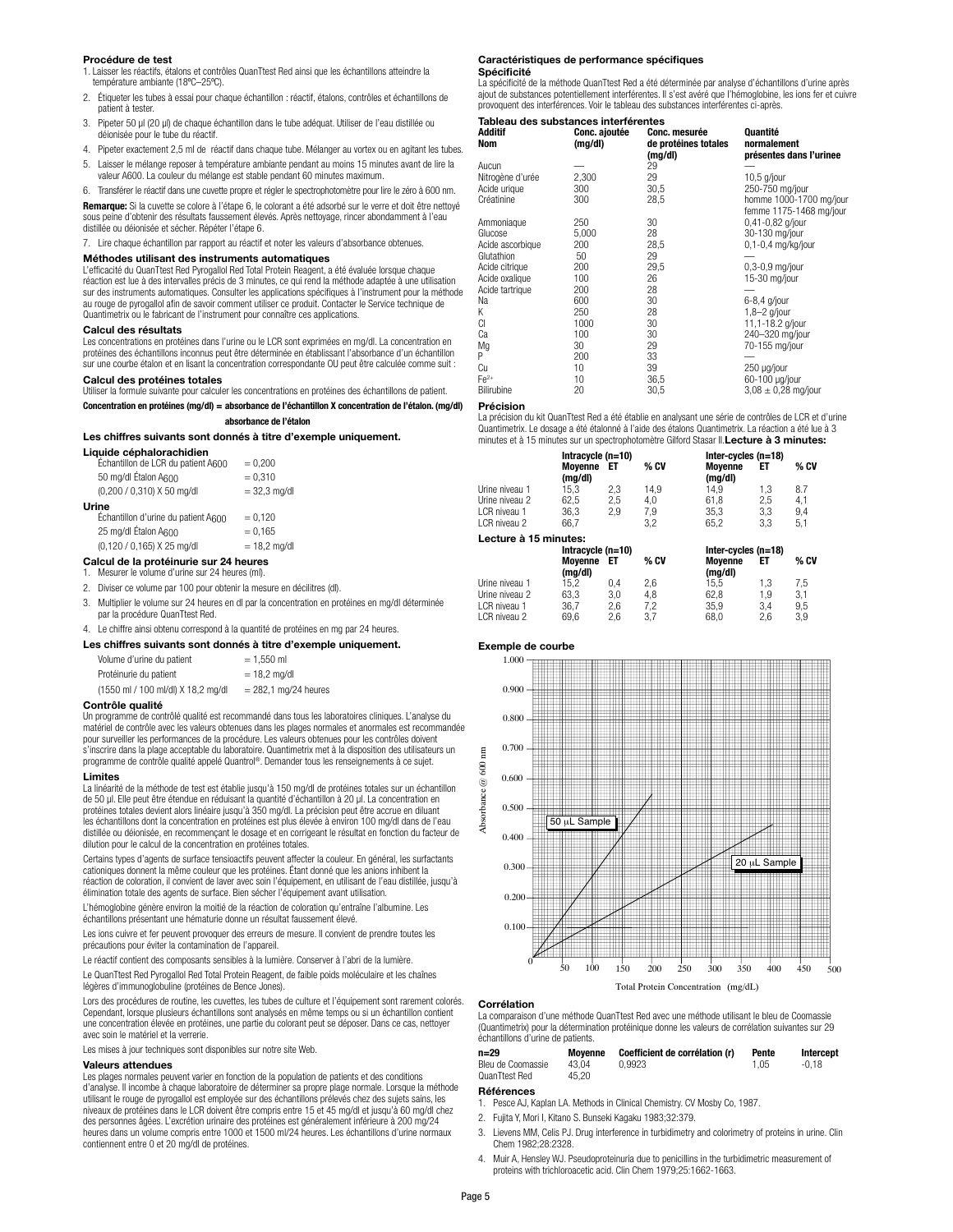### **Procédure de test**

- 1. Laisser les réactifs, étalons et contrôles QuanTtest Red ainsi que les échantillons atteindre la température ambiante (18ºC–25ºC).
- 2. Étiqueter les tubes à essai pour chaque échantillon : réactif, étalons, contrôles et échantillons de patient à tester
- 3. Pipeter 50 µl (20 µl) de chaque échantillon dans le tube adéquat. Utiliser de l'eau distillée ou déionisée pour le tube du réactif.
- 4. Pipeter exactement 2,5 ml de réactif dans chaque tube. Mélanger au vortex ou en agitant les tubes. 5. Laisser le mélange reposer à température ambiante pendant au moins 15 minutes avant de lire la
- valeur A600. La couleur du mélange est stable pendant 60 minutes maximum.
- 6. Transférer le réactif dans une cuvette propre et régler le spectrophotomètre pour lire le zéro à 600 nm. **Remarque:** Si la cuvette se colore à l'étape 6, le colorant a été adsorbé sur le verre et doit être nettoyé sous peine d'obtenir des résultats faussement élevés. Après nettoyage, rincer abondamment à l'eau

distillée ou déionisée et sécher. Répéter l'étape 6.

7. Lire chaque échantillon par rapport au réactif et noter les valeurs d'absorbance obtenues.

### **Méthodes utilisant des instruments automatiques**

L'efficacité du QuanTtest Red Pyrogallol Red Total Protein Reagent, a été évaluée lorsque chaque réaction est lue à des intervalles précis de 3 minutes, ce qui rend la méthode adaptée à une utilisation sur des instruments automatiques. Consulter les applications spécifiques à l'instrument pour la méthode au rouge de pyrogallol afin de savoir comment utiliser ce produit. Contacter le Service technique de Quantimetrix ou le fabricant de l'instrument pour connaître ces applications.

### **Calcul des résultats**

Les concentrations en protéines dans l'urine ou le LCR sont exprimées en mg/dl. La concentration en protéines des échantillons inconnus peut être déterminée en établissant l'absorbance d'un échantillon sur une courbe étalon et en lisant la concentration correspondante OU peut être calculée comme suit :

### **Calcul des protéines totales**

Utiliser la formule suivante pour calculer les concentrations en protéines des échantillons de patient.

### **Concentration en protéines (mg/dl) = absorbance de l'échantillon X concentration de l'étalon. (mg/dl)**

### **absorbance de l'étalon**

### **Les chiffres suivants sont donnés à titre d'exemple uniquement.**

| <b>Liquide céphalorachidien</b><br>Échantillon de LCR du patient A600 | $= 0.200$      |
|-----------------------------------------------------------------------|----------------|
| 50 mg/dl Étalon A600                                                  | $= 0.310$      |
| (0,200 / 0,310) X 50 mg/dl                                            | $= 32.3$ mg/dl |
| Urine                                                                 |                |
| Échantillon d'urine du patient A600                                   | $= 0,120$      |
| 25 mg/dl Étalon A600                                                  | $= 0.165$      |
| (0,120 / 0,165) X 25 mg/dl                                            | $= 18.2$ mg/dl |

### **Calcul de la protéinurie sur 24 heures**

1. Mesurer le volume d'urine sur 24 heures (ml).

- 2. Diviser ce volume par 100 pour obtenir la mesure en décilitres (dl).
- 3. Multiplier le volume sur 24 heures en dl par la concentration en protéines en mg/dl déterminée par la procédure QuanTtest Red.
- 4. Le chiffre ainsi obtenu correspond à la quantité de protéines en mg par 24 heures.

### **Les chiffres suivants sont donnés à titre d'exemple uniquement.**

| Volume d'urine du patient          | $= 1.550$ ml           |
|------------------------------------|------------------------|
| Protéinurie du patient             | $= 18.2$ ma/dl         |
| (1550 ml / 100 ml/dl) X 18,2 mg/dl | $= 282.1$ mg/24 heures |

### **Contrôle qualité**

Un programme de contrôlé qualité est recommandé dans tous les laboratoires cliniques. L'analyse du matériel de contrôle avec les valeurs obtenues dans les plages normales et anormales est recommandée pour surveiller les performances de la procédure. Les valeurs obtenues pour les contrôles doivent s'inscrire dans la plage acceptable du laboratoire. Quantimetrix met à la disposition des utilisateurs un programme de contrôle qualité appelé Quantrol®. Demander tous les renseignements à ce sujet.

### **Limites**

La linéarité de la méthode de test est établie jusqu'à 150 mg/dl de protéines totales sur un échantillon de 50 µl. Elle peut être étendue en réduisant la quantité d'échantillon à 20 µl. La concentration en protéines totales devient alors linéaire jusqu'à 350 mg/dl. La précision peut être accrue en diluant les échantillons dont la concentration en protéines est plus élevée à environ 100 mg/dl dans de l'eau distillée ou déionisée, en recommençant le dosage et en corrigeant le résultat en fonction du facteur de dilution pour le calcul de la concentration en protéines totales.

Certains types d'agents de surface tensioactifs peuvent affecter la couleur. En général, les surfactants cationiques donnent la même couleur que les protéines. Étant donné que les anions inhibent la réaction de coloration, il convient de laver avec soin l'équipement, en utilisant de l'eau distillée, jusqu'à élimination totale des agents de surface. Bien sécher l'équipement avant utilisation.

L'hémoglobine génère environ la moitié de la réaction de coloration qu'entraîne l'albumine. Les échantillons présentant une hématurie donne un résultat faussement élevé.

Les ions cuivre et fer peuvent provoquer des erreurs de mesure. Il convient de prendre toutes les précautions pour éviter la contamination de l'appareil.

Le réactif contient des composants sensibles à la lumière. Conserver à l'abri de la lumière.

Le QuanTtest Red Pyrogallol Red Total Protein Reagent, de faible poids moléculaire et les chaînes légères d'immunoglobuline (protéines de Bence Jones).

Lors des procédures de routine, les cuvettes, les tubes de culture et l'équipement sont rarement colorés. Cependant, lorsque plusieurs échantillons sont analysés en même temps ou si un échantillon contient<br>une concentration élevée en protéines, une partie du colorant peut se déposer. Dans ce cas, nettoyer avec soin le matériel et la verrerie.

Les mises à jour techniques sont disponibles sur notre site Web.

### **Valeurs attendues**

Les plages normales peuvent varier en fonction de la population de patients et des conditions d'analyse. Il incombe à chaque laboratoire de déterminer sa propre plage normale. Lorsque la méthode utilisant le rouge de pyrogallol est employée sur des échantillons prélevés chez des sujets sains, les niveaux de protéines dans le LCR doivent être compris entre 15 et 45 mg/dl et jusqu'à 60 mg/dl chez des personnes âgées. L'excrétion urinaire des protéines est généralement inférieure à 200 mg/24 heures dans un volume compris entre 1000 et 1500 ml/24 heures. Les échantillons d'urine normaux contiennent entre 0 et 20 mg/dl de protéines.

### **Caractéristiques de performance spécifiques Spécificité**

La spécificité de la méthode QuanTtest Red a été déterminée par analyse d'échantillons d'urine après ajout de substances potentiellement interférentes. Il s'est avéré que l'hémoglobine, les ions fer et cuivre provoquent des interférences. Voir le tableau des substances interférentes ci-après.

### **Tableau des substances interférentes**

| Additif<br>Nom   | Conc. ajoutée<br>(mg/dl) | <b>Conc. mesurée</b><br>de protéines totales<br>(mg/dl) | Quantité<br>normalement<br>présentes dans l'urinee |  |  |
|------------------|--------------------------|---------------------------------------------------------|----------------------------------------------------|--|--|
| Aucun            |                          | 29                                                      |                                                    |  |  |
| Nitrogène d'urée | 2,300                    | 29                                                      | $10.5$ g/jour                                      |  |  |
| Acide urique     | 300                      | 30,5                                                    | 250-750 mg/jour                                    |  |  |
| Créatinine       | 300                      | 28,5                                                    | homme 1000-1700 mg/jour<br>femme 1175-1468 mg/jour |  |  |
| Ammoniaque       | 250                      | 30                                                      | 0,41-0,82 g/jour                                   |  |  |
| Glucose          | 5,000                    | 28                                                      | 30-130 mg/jour                                     |  |  |
| Acide ascorbique | 200                      | 28,5                                                    | 0,1-0,4 mg/kg/jour                                 |  |  |
| Glutathion       | 50                       | 29                                                      |                                                    |  |  |
| Acide citrique   | 200                      | 29,5                                                    | $0.3 - 0.9$ mg/jour                                |  |  |
| Acide oxalique   | 100                      | 26                                                      | 15-30 mg/jour                                      |  |  |
| Acide tartrique  | 200                      | 28                                                      |                                                    |  |  |
| Na               | 600                      | 30                                                      | 6-8,4 g/jour                                       |  |  |
| Κ                | 250                      | 28                                                      | $1.8 - 2$ g/jour                                   |  |  |
| CI               | 1000                     | 30                                                      | 11,1-18.2 g/jour                                   |  |  |
| Сa               | 100                      | 30                                                      | 240-320 mg/jour                                    |  |  |
| Mg               | 30                       | 29                                                      | 70-155 mg/jour                                     |  |  |
| P                | 200                      | 33                                                      |                                                    |  |  |
| Сu               | 10                       | 39                                                      | 250 µg/jour                                        |  |  |
| $Fe2+$           | 10                       | 36,5                                                    | 60-100 µg/jour                                     |  |  |
| Bilirubine       | 20                       | 30,5                                                    | $3.08 \pm 0.28$ mg/jour                            |  |  |

### **Précision**

La précision du kit QuanTtest Red a été établie en analysant une série de contrôles de LCR et d'urine Quantimetrix. Le dosage a été étalonné à l'aide des étalons Quantimetrix. La réaction a été lue à 3 minutes et à 15 minutes sur un spectrophotomètre Gilford Stasar II.**Lecture à 3 minutes:**

|                       | Intracycle (n=10)  |     |      |                       | Inter-cycles $(n=18)$ |      |  |
|-----------------------|--------------------|-----|------|-----------------------|-----------------------|------|--|
|                       | Movenne<br>(mg/dl) | EТ  | % CV | Movenne<br>(mg/dl)    | ЕT                    | % CV |  |
| Urine niveau 1        | 15.3               | 2,3 | 14.9 | 14.9                  | 1.3                   | 8.7  |  |
| Urine niveau 2        | 62,5               | 2,5 | 4,0  | 61.8                  | 2,5                   | 4,1  |  |
| LCR niveau 1          | 36.3               | 2.9 | 7,9  | 35.3                  | 3.3                   | 9,4  |  |
| LCR niveau 2          | 66.7               |     | 3.2  | 65,2                  | 3.3                   | 5,1  |  |
| Lecture à 15 minutes: |                    |     |      |                       |                       |      |  |
|                       | Intracycle (n=10)  |     |      | Inter-cycles $(n=18)$ |                       |      |  |
|                       | Moyenne            | EТ  | % CV | Moyenne               | ΕT                    | % CV |  |
|                       | (mg/dl)            |     |      | (mg/dl)               |                       |      |  |
| Urine niveau 1        | 15.2               | 0.4 | 2,6  | 15.5                  | 1,3                   | 7,5  |  |
| Urine niveau 2        | 63.3               | 3.0 | 4,8  | 62.8                  | 1.9                   | 3,1  |  |
| LCR niveau 1          | 36.7               | 2,6 | 7,2  | 35,9                  | 3.4                   | 9,5  |  |
| I CR niveau 2         | 69.6               | 2.6 | 3.7  | 68.0                  | 2.6                   | 3.9  |  |

### **Exemple de courbe**



### **Corrélation**

La comparaison d'une méthode QuanTtest Red avec une méthode utilisant le bleu de Coomassie (Quantimetrix) pour la détermination protéinique donne les valeurs de corrélation suivantes sur 29 échantillons d'urine de patients.

| $n = 29$          | Movenne | Coefficient de corrélation (r) | Pente | Intercept |
|-------------------|---------|--------------------------------|-------|-----------|
| Bleu de Coomassie | 43.04   | 0.9923                         | 1.05  | $-0.18$   |
| QuanTtest Red     | 45.20   |                                |       |           |

### **Références**

- 1. Pesce AJ, Kaplan LA. Methods in Clinical Chemistry. CV Mosby Co, 1987.
- 2. Fujita Y, Mori I, Kitano S. Bunseki Kagaku 1983;32:379.
- Lievens MM, Celis PJ. Drug interference in turbidimetry and colorimetry of proteins in urine. Clin Chem 1982;28:2328.
- 4. Muir A, Hensley WJ. Pseudoproteinuria due to penicillins in the turbidimetric measurement of proteins with trichloroacetic acid. Clin Chem 1979;25:1662-1663.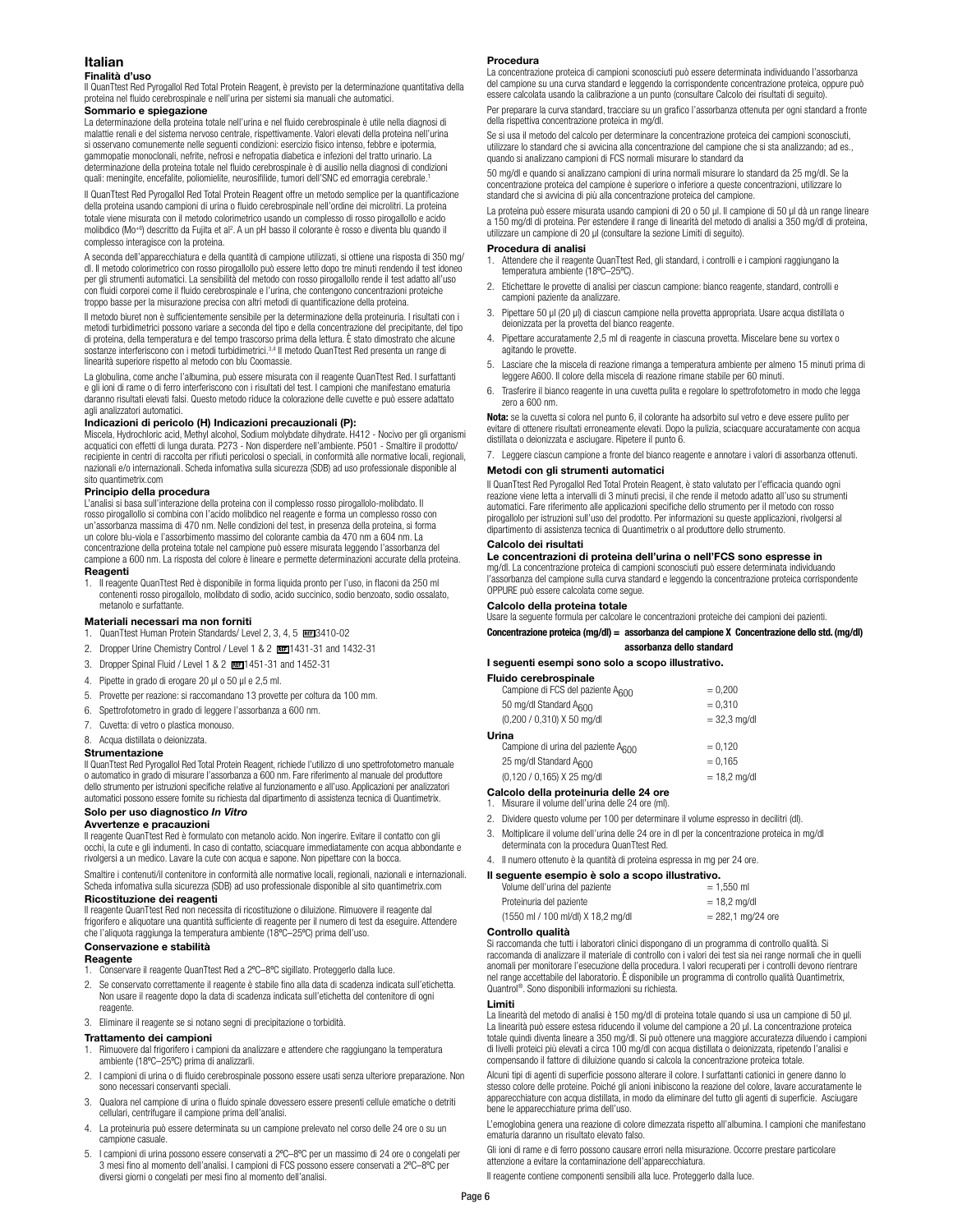### **Italian**

### **Finalità d'uso**

Il QuanTtest Red Pyrogallol Red Total Protein Reagent, è previsto per la determinazione quantitativa della proteina nel fluido cerebrospinale e nell'urina per sistemi sia manuali che automatici.

### **Sommario e spiegazione**

La determinazione della proteina totale nell'urina e nel fluido cerebrospinale è utile nella diagnosi di malattie renali e del sistema nervoso centrale, rispettivamente. Valori elevati della proteina nell'urina si osservano comunemente nelle seguenti condizioni: esercizio fisico intenso, febbre e ipotermia, gammopatie monoclonali, nefrite, nefrosi e nefropatia diabetica e infezioni del tratto urinario. La determinazione della proteina totale nel fluido cerebrospinale è di ausilio nella diagnosi di condizioni quali: meningite, encefalite, poliomielite, neurosifilide, tumori dell'SNC ed emorragia cerebrale.1

Il QuanTtest Red Pyrogallol Red Total Protein Reagent offre un metodo semplice per la quantificazione della proteina usando campioni di urina o fluido cerebrospinale nell'ordine dei microlitri. La proteina totale viene misurata con il metodo colorimetrico usando un complesso di rosso pirogallollo e acido molibdico (Mo<sup>+6</sup>) descritto da Fujita et al<sup>2</sup>. A un pH basso il colorante è rosso e diventa blu quando il complesso interagisce con la proteina.

A seconda dell'apparecchiatura e della quantità di campione utilizzati, si ottiene una risposta di 350 mg/ dl. Il metodo colorimetrico con rosso pirogallollo può essere letto dopo tre minuti rendendo il test idoneo per gli strumenti automatici. La sensibilità del metodo con rosso pirogallollo rende il test adatto all'uso con fluidi corporei come il fluido cerebrospinale e l'urina, che contengono concentrazioni proteiche troppo basse per la misurazione precisa con altri metodi di quantificazione della proteina.

Il metodo biuret non è sufficientemente sensibile per la determinazione della proteinuria. I risultati con i metodi turbidimetrici possono variare a seconda del tipo e della concentrazione del precipitante, del tipo di proteina, della temperatura e del tempo trascorso prima della lettura. È stato dimostrato che alcune<br>sostanze interferiscono con i metodi turbidimetrici.<sup>3,4</sup> Il metodo QuanTtest Red presenta un range di linearità superiore rispetto al metodo con blu Coomassie.

La globulina, come anche l'albumina, può essere misurata con il reagente QuanTtest Red. I surfattanti e gli ioni di rame o di ferro interferiscono con i risultati del test. I campioni che manifestano ematuria daranno risultati elevati falsi. Questo metodo riduce la colorazione delle cuvette e può essere adattato agli analizzatori automatici.

### **Indicazioni di pericolo (H) Indicazioni precauzionali (P):**

Miscela, Hydrochloric acid, Methyl alcohol, Sodium molybdate dihydrate. H412 - Nocivo per gli organismi acquatici con effetti di lunga durata. P273 - Non disperdere nell'ambiente. P501 - Smaltire il prodotto/ recipiente in centri di raccolta per rifiuti pericolosi o speciali, in conformità alle normative locali, regionali, nazionali e/o internazionali. Scheda infomativa sulla sicurezza (SDB) ad uso professionale disponible al sito quantimetrix.com

### **Principio della procedura**

L'analisi si basa sull'interazione della proteina con il complesso rosso pirogallolo-molibdato. Il rosso pirogallollo si combina con l'acido molibdico nel reagente e forma un complesso rosso con un'assorbanza massima di 470 nm. Nelle condizioni del test, in presenza della proteina, si forma un colore blu-viola e l'assorbimento massimo del colorante cambia da 470 nm a 604 nm. La concentrazione della proteina totale nel campione può essere misurata leggendo l'assorbanza del campione a 600 nm. La risposta del colore è lineare e permette determinazioni accurate della proteina. **Reagenti** 

1. Il reagente QuanTtest Red è disponibile in forma liquida pronto per l'uso, in flaconi da 250 ml contenenti rosso pirogallolo, molibdato di sodio, acido succinico, sodio benzoato, sodio ossalato, metanolo e surfattante.

### **Materiali necessari ma non forniti**

- 1. QuanTtest Human Protein Standards/ Level 2, 3, 4, 5 REE13410-02
- 2. Dropper Urine Chemistry Control / Level 1 & 2 REE1431-31 and 1432-31
- 3. Dropper Spinal Fluid / Level 1 & 2 1451-31 and 1452-31
- 4. Pipette in grado di erogare 20 µl o 50 µl e 2,5 ml.
- 5. Provette per reazione: si raccomandano 13 provette per coltura da 100 mm.
- 6. Spettrofotometro in grado di leggere l'assorbanza a 600 nm.
- 7. Cuvetta: di vetro o plastica monouso.
- 8. Acqua distillata o deionizzata.

### **Strumentazione**

Il QuanTtest Red Pyrogallol Red Total Protein Reagent, richiede l'utilizzo di uno spettrofotometro manuale o automatico in grado di misurare l'assorbanza a 600 nm. Fare riferimento al manuale del produttore dello strumento per istruzioni specifiche relative al funzionamento e all'uso. Applicazioni per analizzatori automatici possono essere fornite su richiesta dal dipartimento di assistenza tecnica di Quantimetrix.

### **Solo per uso diagnostico** *In Vitro*

### **Avvertenze e pracauzioni**

Il reagente QuanTtest Red è formulato con metanolo acido. Non ingerire. Evitare il contatto con gli occhi, la cute e gli indumenti. In caso di contatto, sciacquare immediatamente con acqua abbondante e rivolgersi a un medico. Lavare la cute con acqua e sapone. Non pipettare con la bocca.

Smaltire i contenuti/il contenitore in conformità alle normative locali, regionali, nazionali e internazionali. Scheda infomativa sulla sicurezza (SDB) ad uso professionale disponible al sito quantimetrix.com **Ricostituzione dei reagenti**

### Il reagente QuanTtest Red non necessita di ricostituzione o diluizione. Rimuovere il reagente dal

frigorifero e aliquotare una quantità sufficiente di reagente per il numero di test da eseguire. Attendere che l'aliquota raggiunga la temperatura ambiente (18ºC–25ºC) prima dell'uso. **Conservazione e stabilità**

### **Reagente**

- 1. Conservare il reagente QuanTtest Red a 2ºC–8ºC sigillato. Proteggerlo dalla luce.
- 2. Se conservato correttamente il reagente è stabile fino alla data di scadenza indicata sull'etichetta. Non usare il reagente dopo la data di scadenza indicata sull'etichetta del contenitore di ogni reagente
- 3. Eliminare il reagente se si notano segni di precipitazione o torbidità.

### **Trattamento dei campioni**

- 1. Rimuovere dal frigorifero i campioni da analizzare e attendere che raggiungano la temperatura ambiente (18ºC–25ºC) prima di analizzarli.
- 2. I campioni di urina o di fluido cerebrospinale possono essere usati senza ulteriore preparazione. Non sono necessari conservanti speciali.
- 3. Qualora nel campione di urina o fluido spinale dovessero essere presenti cellule ematiche o detriti cellulari, centrifugare il campione prima dell'analisi.
- 4. La proteinuria può essere determinata su un campione prelevato nel corso delle 24 ore o su un campione casuale.
- 5. I campioni di urina possono essere conservati a 2ºC–8ºC per un massimo di 24 ore o congelati per 3 mesi fino al momento dell'analisi. I campioni di FCS possono essere conservati a 2ºC–8ºC per diversi giorni o congelati per mesi fino al momento dell'analisi.

### **Procedura**

La concentrazione proteica di campioni sconosciuti può essere determinata individuando l'assorbanza del campione su una curva standard e leggendo la corrispondente concentrazione proteica, oppure può essere calcolata usando la calibrazione a un punto (consultare Calcolo dei risultati di seguito).

Per preparare la curva standard, tracciare su un grafico l'assorbanza ottenuta per ogni standard a fronte della rispettiva concentrazione proteica in mg/dl.

Se si usa il metodo del calcolo per determinare la concentrazione proteica dei campioni sconosciuti, utilizzare lo standard che si avvicina alla concentrazione del campione che si sta analizzando; ad es., quando si analizzano campioni di FCS normali misurare lo standard da

50 mg/dl e quando si analizzano campioni di urina normali misurare lo standard da 25 mg/dl. Se la concentrazione proteica del campione è superiore o inferiore a queste concentrazioni, utilizzare lo standard che si avvicina di più alla concentrazione proteica del campione.

La proteina può essere misurata usando campioni di 20 o 50 µl. Il campione di 50 µl dà un range lineare a 150 mg/dl di proteina. Per estendere il range di linearità del metodo di analisi a 350 mg/dl di proteina, utilizzare un campione di 20 µl (consultare la sezione Limiti di seguito).

### **Procedura di analisi**

- 1. Attendere che il reagente QuanTtest Red, gli standard, i controlli e i campioni raggiungano la temperatura ambiente (18ºC–25ºC).
- 2. Etichettare le provette di analisi per ciascun campione: bianco reagente, standard, controlli e campioni paziente da analizzare.
- 3. Pipettare 50 µl (20 µl) di ciascun campione nella provetta appropriata. Usare acqua distillata o deionizzata per la provetta del bianco reagente.
- 4. Pipettare accuratamente 2,5 ml di reagente in ciascuna provetta. Miscelare bene su vortex o agitando le provette.
- 5. Lasciare che la miscela di reazione rimanga a temperatura ambiente per almeno 15 minuti prima di leggere A600. Il colore della miscela di reazione rimane stabile per 60 minuti.
- 6. Trasferire il bianco reagente in una cuvetta pulita e regolare lo spettrofotometro in modo che legga zero a 600 nm.

**Nota:** se la cuvetta si colora nel punto 6, il colorante ha adsorbito sul vetro e deve essere pulito per evitare di ottenere risultati erroneamente elevati. Dopo la pulizia, sciacquare accuratamente con acqua distillata o deionizzata e asciugare. Ripetere il punto 6.

7. Leggere ciascun campione a fronte del bianco reagente e annotare i valori di assorbanza ottenuti.

### **Metodi con gli strumenti automatici**

Il QuanTtest Red Pyrogallol Red Total Protein Reagent, è stato valutato per l'efficacia quando ogni reazione viene letta a intervalli di 3 minuti precisi, il che rende il metodo adatto all'uso su strumenti automatici. Fare riferimento alle applicazioni specifiche dello strumento per il metodo con rosso pirogallolo per istruzioni sull'uso del prodotto. Per informazioni su queste applicazioni, rivolgersi al dipartimento di assistenza tecnica di Quantimetrix o al produttore dello strumento.

### **Calcolo dei risultati**

### **Le concentrazioni di proteina dell'urina o nell'FCS sono espresse in**

mg/dl. La concentrazione proteica di campioni sconosciuti può essere determinata individuando l'assorbanza del campione sulla curva standard e leggendo la concentrazione proteica corrispondente OPPURE può essere calcolata come segue.

### **Calcolo della proteina totale**

Usare la seguente formula per calcolare le concentrazioni proteiche dei campioni dei pazienti.

**Concentrazione proteica (mg/dl) = assorbanza del campione X Concentrazione dello std. (mg/dl) assorbanza dello standard**

### **I seguenti esempi sono solo a scopo illustrativo.**

| Fluido cerebrospinale                  |                |
|----------------------------------------|----------------|
| Campione di FCS del paziente A600      | $= 0.200$      |
| 50 mg/dl Standard A600                 | $= 0.310$      |
| (0,200 / 0,310) X 50 mg/dl             | $= 32.3$ mg/dl |
| Urina                                  |                |
| Campione di urina del paziente A600    | $= 0,120$      |
| 25 mg/dl Standard A <sub>600</sub>     | $= 0.165$      |
| (0,120 / 0,165) X 25 mg/dl             | $= 18.2$ mg/dl |
| Calcolo della proteinuria delle 24 ore |                |

1. Misurare il volume dell'urina delle 24 ore (ml).

- 2. Dividere questo volume per 100 per determinare il volume espresso in decilitri (dl).
- 
- 3. Moltiplicare il volume dell'urina delle 24 ore in dl per la concentrazione proteica in mg/dl determinata con la procedura QuanTtest Red.
- 4. Il numero ottenuto è la quantità di proteina espressa in mg per 24 ore.

# **Il seguente esempio è solo a scopo illustrativo.**<br>Volume dell'urina del paziente = 1,550 ml

| volume dell'urina del paziente     | $= 1.550$ m         |
|------------------------------------|---------------------|
| Proteinuria del paziente           | $= 18.2$ ma/dl      |
| (1550 ml / 100 ml/dl) X 18,2 mg/dl | $= 282.1$ mg/24 ore |

### **Controllo qualità**

Si raccomanda che tutti i laboratori clinici dispongano di un programma di controllo qualità. Si raccomanda di analizzare il materiale di controllo con i valori dei test sia nei range normali che in quelli anomali per monitorare l'esecuzione della procedura. I valori recuperati per i controlli devono rientrare nel range accettabile del laboratorio. È disponibile un programma di controllo qualità Quantimetrix, Quantrol®. Sono disponibili informazioni su richiesta.

### **Limiti**

La linearità del metodo di analisi è 150 mg/dl di proteina totale quando si usa un campione di 50 µl. La linearità può essere estesa riducendo il volume del campione a 20 µl. La concentrazione proteica totale quindi diventa lineare a 350 mg/dl. Si può ottenere una maggiore accuratezza diluendo i campioni di livelli proteici più elevati a circa 100 mg/dl con acqua distillata o deionizzata, ripetendo l'analisi e compensando il fattore di diluizione quando si calcola la concentrazione proteica totale.

Alcuni tipi di agenti di superficie possono alterare il colore. I surfattanti cationici in genere danno lo stesso colore delle proteine. Poiché gli anioni inibiscono la reazione del colore, lavare accuratamente le apparecchiature con acqua distillata, in modo da eliminare del tutto gli agenti di superficie. Asciugare bene le apparecchiature prima dell'uso.

L'emoglobina genera una reazione di colore dimezzata rispetto all'albumina. I campioni che manifestano ematuria daranno un risultato elevato falso.

Gli ioni di rame e di ferro possono causare errori nella misurazione. Occorre prestare particolare attenzione a evitare la contaminazione dell'apparecchiatura.

Il reagente contiene componenti sensibili alla luce. Proteggerlo dalla luce.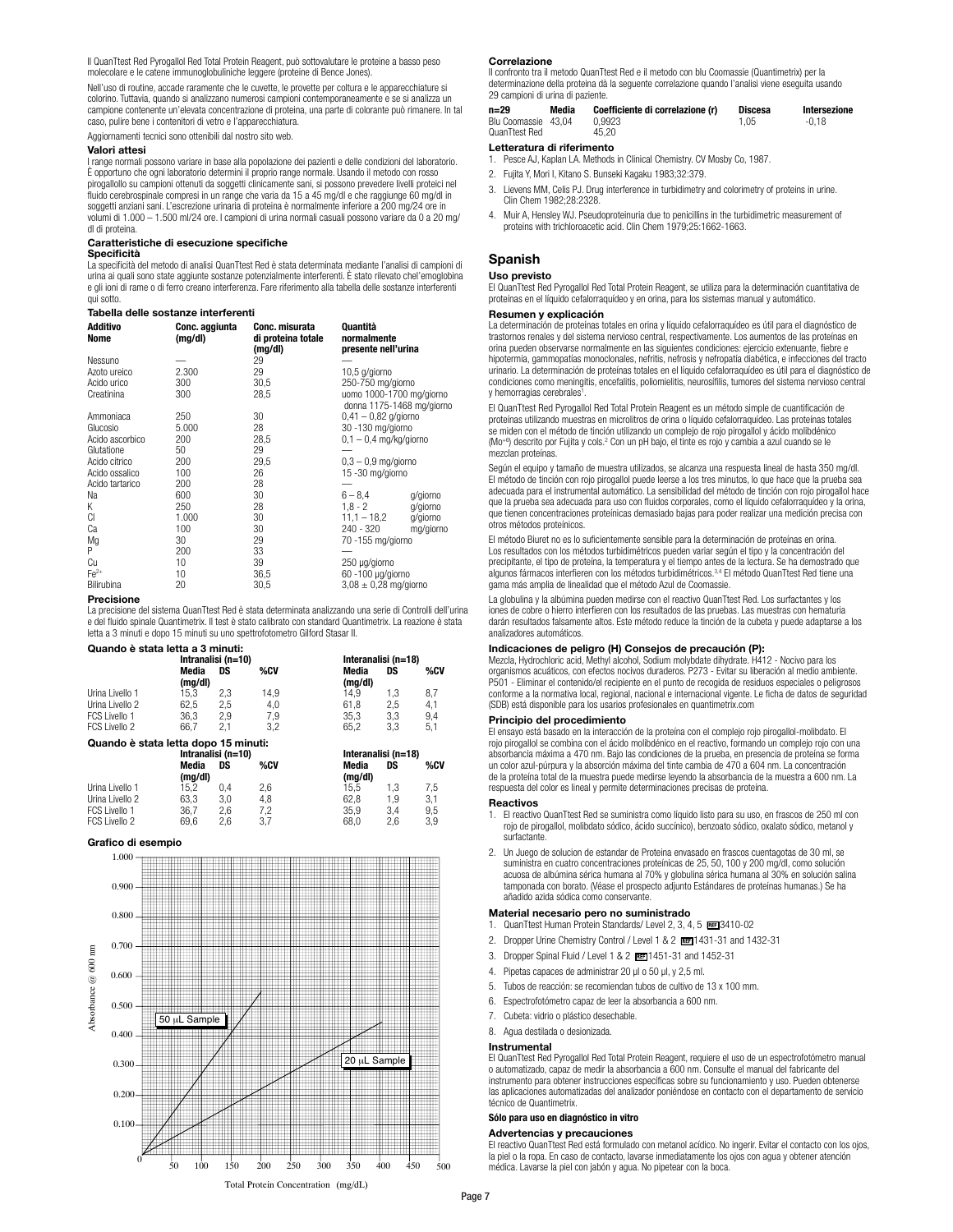Il QuanTtest Red Pyrogallol Red Total Protein Reagent, può sottovalutare le proteine a basso peso molecolare e le catene immunoglobuliniche leggere (proteine di Bence Jones).

Nell'uso di routine, accade raramente che le cuvette, le provette per coltura e le apparecchiature si colorino. Tuttavia, quando si analizzano numerosi campioni contemporaneamente e se si analizza un campione contenente un'elevata concentrazione di proteina, una parte di colorante può rimanere. In tal caso, pulire bene i contenitori di vetro e l'apparecchiatura.

Aggiornamenti tecnici sono ottenibili dal nostro sito web.

### **Valori attesi**

I range normali possono variare in base alla popolazione dei pazienti e delle condizioni del laboratorio. È opportuno che ogni laboratorio determini il proprio range normale. Usando il metodo con rosso pirogallollo su campioni ottenuti da soggetti clinicamente sani, si possono prevedere livelli proteici nel fluido cerebrospinale compresi in un range che varia da 15 a 45 mg/dl e che raggiunge 60 mg/dl in<br>soggetti anziani sani. L'escrezione urinaria di proteina è normalmente inferiore a 200 mg/24 ore in volumi di 1.000 – 1.500 ml/24 ore. I campioni di urina normali casuali possono variare da 0 a 20 mg/ dl di proteina.

### **Caratteristiche di esecuzione specifiche**

**Specificità**

La specificità del metodo di analisi QuanTtest Red è stata determinata mediante l'analisi di campioni di urina ai quali sono state aggiunte sostanze potenzialmente interferenti. È stato rilevato chel'emoglobina e gli ioni di rame o di ferro creano interferenza. Fare riferimento alla tabella delle sostanze interferenti qui sotto.

### **Tabella delle sostanze interferenti**

| Additivo<br>Nome | Conc. aggiunta<br>(mg/dl) | Conc. misurata<br>di proteina totale<br>(mg/dl) | Quantità<br>normalmente<br>presente nell'urina        |           |
|------------------|---------------------------|-------------------------------------------------|-------------------------------------------------------|-----------|
| Nessuno          |                           | 29                                              |                                                       |           |
| Azoto ureico     | 2.300                     | 29                                              | 10,5 g/giorno                                         |           |
| Acido urico      | 300                       | 30,5                                            | 250-750 mg/giorno                                     |           |
| Creatinina       | 300                       | 28,5                                            | uomo 1000-1700 mg/giorno<br>donna 1175-1468 mg/giorno |           |
| Ammoniaca        | 250                       | 30                                              | $0.41 - 0.82$ g/giorno                                |           |
| Glucosio         | 5.000                     | 28                                              | 30 -130 mg/giorno                                     |           |
| Acido ascorbico  | 200                       | 28,5                                            | $0.1 - 0.4$ mg/kg/giorno                              |           |
| Glutatione       | 50                        | 29                                              |                                                       |           |
| Acido citrico    | 200                       | 29,5                                            | $0.3 - 0.9$ mg/giorno                                 |           |
| Acido ossalico   | 100                       | 26                                              | 15 -30 mg/giorno                                      |           |
| Acido tartarico  | 200                       | 28                                              |                                                       |           |
| Na               | 600                       | 30                                              | $6 - 8.4$                                             | g/giorno  |
| Κ                | 250                       | 28                                              | $1.8 - 2$                                             | g/giorno  |
| CI               | 1.000                     | 30                                              | $11.1 - 18.2$                                         | g/giorno  |
| Ca               | 100                       | 30                                              | $240 - 320$                                           | mg/giorno |
| Mg               | 30                        | 29                                              | 70 -155 mg/giorno                                     |           |
| P                | 200                       | 33                                              |                                                       |           |
| Cu               | 10                        | 39                                              | 250 µg/giorno                                         |           |
| $Fe2+$           | 10                        | 36,5                                            | 60 -100 µg/giorno                                     |           |
| Bilirubina       | 20                        | 30,5                                            | $3.08 \pm 0.28$ mg/giorno                             |           |

### **Precisione**

La precisione del sistema QuanTtest Red è stata determinata analizzando una serie di Controlli dell'urina e del fluido spinale Quantimetrix. Il test è stato calibrato con standard Quantimetrix. La reazione è stata letta a 3 minuti e dopo 15 minuti su uno spettrofotometro Gilford Stasar II.

| Quando è stata letta a 3 minuti: |  |
|----------------------------------|--|
|----------------------------------|--|

|                                      | Intranalisi (n=10) |     |         | Interanalisi (n=18) |     |         |
|--------------------------------------|--------------------|-----|---------|---------------------|-----|---------|
|                                      | Media<br>(mg/dl)   | DS  | %CV     | Media<br>(mg/dl)    | DS  | %CV     |
| Urina Livello 1                      | 15.3               | 2.3 | 14.9    | 14.9                | 1.3 | 8,7     |
| Urina Livello 2                      | 62.5               | 2.5 | 4.0     | 61.8                | 2,5 | 4.1     |
| FCS Livello 1                        | 36.3               | 2.9 | 7.9     | 35.3                | 3.3 | 9.4     |
| FCS Livello 2                        | 66.7               | 2.1 | 3.2     | 65.2                | 3.3 | 5.1     |
| Quando è stata letta dopo 15 minuti: |                    |     |         |                     |     |         |
|                                      | Intranalisi (n=10) |     |         | Interanalisi (n=18) |     |         |
|                                      | Media              | DS  | % $c$ v | Media               | ns  | % $c$ v |

|                 | Media   | DS  | %CV | Media   | DS  | %CV |  |
|-----------------|---------|-----|-----|---------|-----|-----|--|
|                 | (ma/dl) |     |     | (mg/dl) |     |     |  |
| Urina Livello 1 | 15.2    | 0.4 | 2.6 | 15.5    | 1.3 | 7.5 |  |
| Urina Livello 2 | 63.3    | 3.0 | 4.8 | 62.8    | 1.9 | 3.1 |  |
| FCS Livello 1   | 36.7    | 2.6 | 7.2 | 35.9    | 3.4 | 9.5 |  |
| FCS Livello 2   | 69.6    | 2.6 | 3.7 | 68.0    | 2.6 | 3.9 |  |

### **Grafico di esempio**



### **Correlazione**

Il confronto tra il metodo QuanTtest Red e il metodo con blu Coomassie (Quantimetrix) per la determinazione della proteina dà la seguente correlazione quando l'analisi viene eseguita usando 29 campioni di urina di paziente.

| $n=29$                               | Media | Coefficiente di correlazione (r) | Discesa | Intersezione |
|--------------------------------------|-------|----------------------------------|---------|--------------|
| Blu Coomassie 43.04<br>QuanTtest Red |       | 0.9923<br>45.20                  | 1.05    | -0.18        |

### **Letteratura di riferimento**

- 1. Pesce AJ, Kaplan LA. Methods in Clinical Chemistry. CV Mosby Co, 1987.
- 2. Fujita Y, Mori I, Kitano S. Bunseki Kagaku 1983;32:379.
- 3. Lievens MM, Celis PJ. Drug interference in turbidimetry and colorimetry of proteins in urine. Clin Chem 1982;28:2328.
- 4. Muir A, Hensley WJ. Pseudoproteinuria due to penicillins in the turbidimetric measurement of proteins with trichloroacetic acid. Clin Chem 1979;25:1662-1663.

### **Spanish**

### **Uso previsto**

El QuanTtest Red Pyrogallol Red Total Protein Reagent, se utiliza para la determinación cuantitativa de proteínas en el líquido cefalorraquídeo y en orina, para los sistemas manual y automático.

### **Resumen y explicación**

La determinación de proteínas totales en orina y líquido cefalorraquídeo es útil para el diagnóstico de trastornos renales y del sistema nervioso central, respectivamente. Los aumentos de las proteínas en orina pueden observarse normalmente en las siguientes condiciones: ejercicio extenuante, fiebre e hipotermia, gammopatías monoclonales, nefritis, nefrosis y nefropatía diabética, e infecciones del tracto urinario. La determinación de proteínas totales en el líquido cefalorraquídeo es útil para el diagnóstico de condiciones como meningitis, encefalitis, poliomielitis, neurosífilis, tumores del sistema nervioso central y hemorragias cerebrales<sup>1</sup>.

El QuanTtest Red Pyrogallol Red Total Protein Reagent es un método simple de cuantificación de proteínas utilizando muestras en microlitros de orina o líquido cefalorraquídeo. Las proteínas totales se miden con el método de tinción utilizando un complejo de rojo pirogallol y ácido molibdénico (Mo+6) descrito por Fujita y cols.2 Con un pH bajo, el tinte es rojo y cambia a azul cuando se le mezclan proteínas.

Según el equipo y tamaño de muestra utilizados, se alcanza una respuesta lineal de hasta 350 mg/dl. El método de tinción con rojo pirogallol puede leerse a los tres minutos, lo que hace que la prueba sea adecuada para el instrumental automático. La sensibilidad del método de tinción con rojo pirogallol hace que la prueba sea adecuada para uso con fluidos corporales, como el líquido cefalorraquídeo y la orina, que tienen concentraciones proteínicas demasiado bajas para poder realizar una medición precisa con otros métodos proteínicos.

El método Biuret no es lo suficientemente sensible para la determinación de proteínas en orina. Los resultados con los métodos turbidimétricos pueden variar según el tipo y la concentración del precipitante, el tipo de proteína, la temperatura y el tiempo antes de la lectura. Se ha demostrado que<br>algunos fármacos interfieren con los métodos turbidimétricos.<sup>3,4</sup> El método QuanTtest Red tiene una gama más amplia de linealidad que el método Azul de Coomassie.

La globulina y la albúmina pueden medirse con el reactivo QuanTtest Red. Los surfactantes y los iones de cobre o hierro interfieren con los resultados de las pruebas. Las muestras con hematuria darán resultados falsamente altos. Este método reduce la tinción de la cubeta y puede adaptarse a los analizadores automáticos.

### **Indicaciones de peligro (H) Consejos de precaución (P):**

Mezcla, Hydrochloric acid, Methyl alcohol, Sodium molybdate dihydrate. H412 - Nocivo para los organismos acuáticos, con efectos nocivos duraderos. P273 - Evitar su liberación al medio ambiente. P501 - Eliminar el contenido/el recipiente en el punto de recogida de residuos especiales o peligrosos conforme a la normativa local, regional, nacional e internacional vigente. Le ficha de datos de seguridad (SDB) está disponible para los usarios profesionales en quantimetrix.com

### **Principio del procedimiento**

El ensayo está basado en la interacción de la proteína con el complejo rojo pirogallol-molibdato. El rojo pirogallol se combina con el ácido molibdénico en el reactivo, formando un complejo rojo con una absorbancia máxima a 470 nm. Bajo las condiciones de la prueba, en presencia de proteína se forma un color azul-púrpura y la absorción máxima del tinte cambia de 470 a 604 nm. La concentración de la proteína total de la muestra puede medirse leyendo la absorbancia de la muestra a 600 nm. La respuesta del color es lineal y permite determinaciones precisas de proteína.

### **Reactivos**

- 1. El reactivo QuanTtest Red se suministra como líquido listo para su uso, en frascos de 250 ml con rojo de pirogallol, molibdato sódico, ácido succínico), benzoato sódico, oxalato sódico, metanol y surfactante.
- 2. Un Juego de solucion de estandar de Proteina envasado en frascos cuentagotas de 30 ml, se suministra en cuatro concentraciones proteínicas de 25, 50, 100 y 200 mg/dl, como solución acuosa de albúmina sérica humana al 70% y globulina sérica humana al 30% en solución salina tamponada con borato. (Véase el prospecto adjunto Estándares de proteínas humanas.) Se ha añadido azida sódica como conservante.

### **Material necesario pero no suministrado**

- 1. QuanTtest Human Protein Standards/ Level 2, 3, 4, 5 BE13410-02
- 2. Dropper Urine Chemistry Control / Level 1 & 2 | REE 1431-31 and 1432-31
- 3. Dropper Spinal Fluid / Level 1 & 2 <sup>1451-31</sup> and 1452-31
- 4. Pipetas capaces de administrar 20 µl o 50 µl, y 2,5 ml.
- 5. Tubos de reacción: se recomiendan tubos de cultivo de 13 x 100 mm.
- 6. Espectrofotómetro capaz de leer la absorbancia a 600 nm.
- 7. Cubeta: vidrio o plástico desechable.
- 8. Agua destilada o desionizada.

### **Instrumental**

El QuanTtest Red Pyrogallol Red Total Protein Reagent, requiere el uso de un espectrofotómetro manual o automatizado, capaz de medir la absorbancia a 600 nm. Consulte el manual del fabricante del instrumento para obtener instrucciones específicas sobre su funcionamiento y uso. Pueden obtenerse las aplicaciones automatizadas del analizador poniéndose en contacto con el departamento de servicio técnico de Quantimetrix.

### **Sólo para uso en diagnóstico in vitro**

### **Advertencias y precauciones**

El reactivo QuanTtest Red está formulado con metanol acídico. No ingerir. Evitar el contacto con los ojos, la piel o la ropa. En caso de contacto, lavarse inmediatamente los ojos con agua y obtener atención médica. Lavarse la piel con jabón y agua. No pipetear con la boca.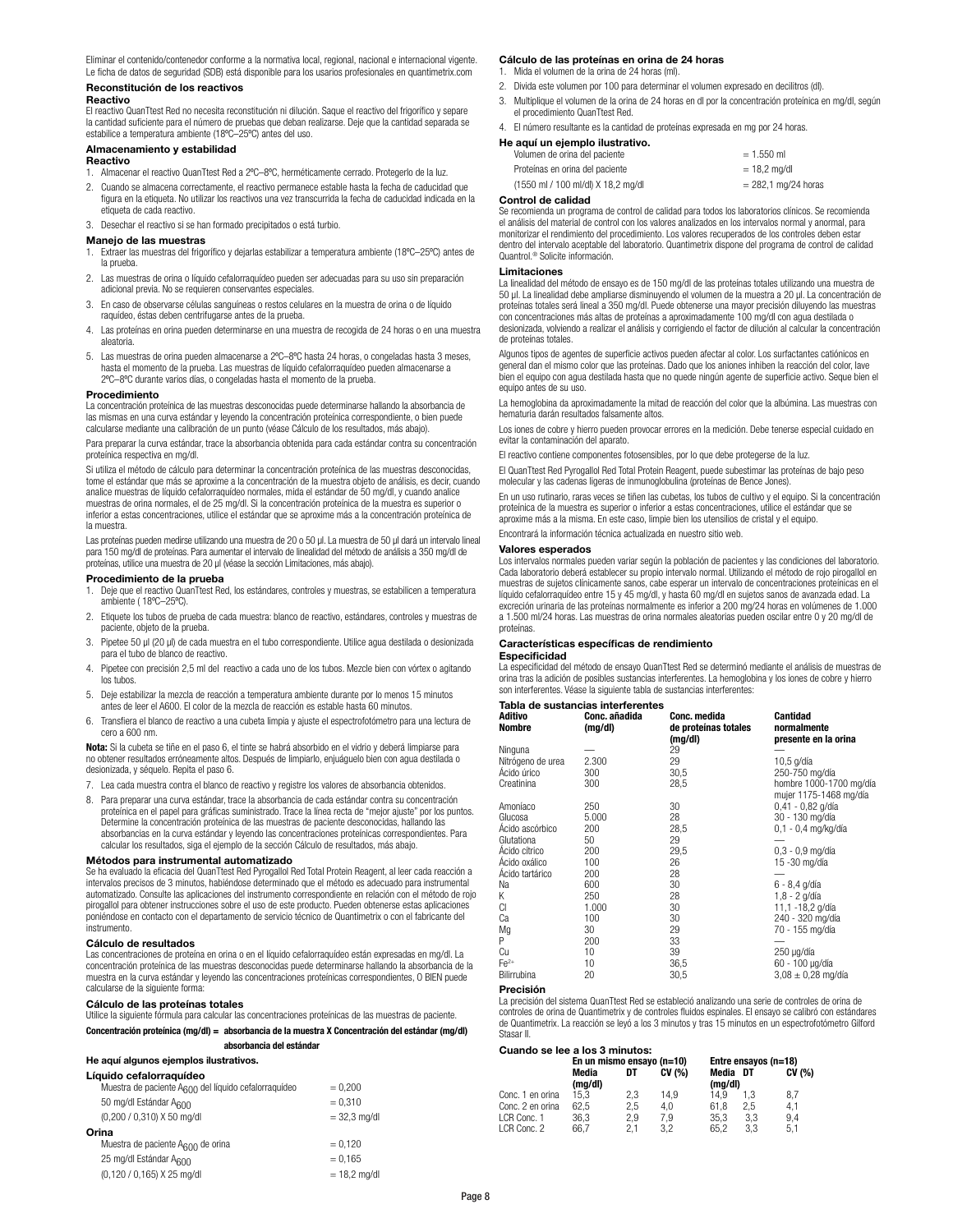Eliminar el contenido/contenedor conforme a la normativa local, regional, nacional e internacional vigente. Le ficha de datos de seguridad (SDB) está disponible para los usarios profesionales en quantimetrix.com

### **Reconstitución de los reactivos**

### **Reactivo**

El reactivo QuanTtest Red no necesita reconstitución ni dilución. Saque el reactivo del frigorífico y separe la cantidad suficiente para el número de pruebas que deban realizarse. Deje que la cantidad separada se estabilice a temperatura ambiente (18ºC–25ºC) antes del uso.

### **Almacenamiento y estabilidad**

### **Reactivo**

- 1. Almacenar el reactivo QuanTtest Red a 2ºC–8ºC, herméticamente cerrado. Protegerlo de la luz.
- 2. Cuando se almacena correctamente, el reactivo permanece estable hasta la fecha de caducidad que figura en la etiqueta. No utilizar los reactivos una vez transcurrida la fecha de caducidad indicada en la etiqueta de cada reactivo.
- 3. Desechar el reactivo si se han formado precipitados o está turbio.

### **Manejo de las muestras**

- 1. Extraer las muestras del frigorífico y dejarlas estabilizar a temperatura ambiente (18ºC–25ºC) antes de la prueba.
- 2. Las muestras de orina o líquido cefalorraquídeo pueden ser adecuadas para su uso sin preparación adicional previa. No se requieren conservantes especiales.
- 3. En caso de observarse células sanguíneas o restos celulares en la muestra de orina o de líquido raquídeo, éstas deben centrifugarse antes de la prueba.
- 4. Las proteínas en orina pueden determinarse en una muestra de recogida de 24 horas o en una muestra aleatoria.
- 5. Las muestras de orina pueden almacenarse a 2ºC–8ºC hasta 24 horas, o congeladas hasta 3 meses, hasta el momento de la prueba. Las muestras de líquido cefalorraquídeo pueden almacenarse a 2ºC–8ºC durante varios días, o congeladas hasta el momento de la prueba.

### **Procedimiento**

La concentración proteínica de las muestras desconocidas puede determinarse hallando la absorbancia de las mismas en una curva estándar y leyendo la concentración proteínica correspondiente, o bien puede calcularse mediante una calibración de un punto (véase Cálculo de los resultados, más abajo).

Para preparar la curva estándar, trace la absorbancia obtenida para cada estándar contra su concentración proteínica respectiva en mg/dl.

Si utiliza el método de cálculo para determinar la concentración proteínica de las muestras desconocidas, tome el estándar que más se aproxime a la concentración de la muestra objeto de análisis, es decir, cuando analice muestras de líquido cefalorraquídeo normales, mida el estándar de 50 mg/dl, y cuando analice muestras de orina normales, el de 25 mg/dl. Si la concentración proteínica de la muestra es superior o inferior a estas concentraciones, utilice el estándar que se aproxime más a la concentración proteínica de la muestra.

Las proteínas pueden medirse utilizando una muestra de 20 o 50 µl. La muestra de 50 µl dará un intervalo lineal para 150 mg/dl de proteínas. Para aumentar el intervalo de linealidad del método de análisis a 350 mg/dl de proteínas, utilice una muestra de 20 µl (véase la sección Limitaciones, más abajo).

### **Procedimiento de la prueba**

- 1. Deje que el reactivo QuanTtest Red, los estándares, controles y muestras, se estabilicen a temperatura ambiente ( 18ºC–25ºC).
- 2. Etiquete los tubos de prueba de cada muestra: blanco de reactivo, estándares, controles y muestras de paciente, objeto de la prueba.
- 3. Pipetee 50 µl (20 µl) de cada muestra en el tubo correspondiente. Utilice agua destilada o desionizada para el tubo de blanco de reactivo.
- 4. Pipetee con precisión 2,5 ml del reactivo a cada uno de los tubos. Mezcle bien con vórtex o agitando los tubos.
- 5. Deje estabilizar la mezcla de reacción a temperatura ambiente durante por lo menos 15 minutos antes de leer el A600. El color de la mezcla de reacción es estable hasta 60 minutos.
- 6. Transfiera el blanco de reactivo a una cubeta limpia y ajuste el espectrofotómetro para una lectura de cero a 600 nm.

**Nota:** Si la cubeta se tiñe en el paso 6, el tinte se habrá absorbido en el vidrio y deberá limpiarse para no obtener resultados erróneamente altos. Después de limpiarlo, enjuáguelo bien con agua destilada o desionizada, y séquelo. Repita el paso 6.

- 7. Lea cada muestra contra el blanco de reactivo y registre los valores de absorbancia obtenidos.
- 8. Para preparar una curva estándar, trace la absorbancia de cada estándar contra su concentración proteínica en el papel para gráficas suministrado. Trace la línea recta de "mejor ajuste" por los puntos. Determine la concentración proteínica de las muestras de paciente desconocidas, hallando las absorbancias en la curva estándar y leyendo las concentraciones proteínicas correspondientes. Para calcular los resultados, siga el ejemplo de la sección Cálculo de resultados, más abajo.

**Métodos para instrumental automatizado** Se ha evaluado la eficacia del QuanTtest Red Pyrogallol Red Total Protein Reagent, al leer cada reacción a intervalos precisos de 3 minutos, habiéndose determinado que el método es adecuado para instrumental automatizado. Consulte las aplicaciones del instrumento correspondiente en relación con el método de rojo pirogallol para obtener instrucciones sobre el uso de este producto. Pueden obtenerse estas aplicaciones poniéndose en contacto con el departamento de servicio técnico de Quantimetrix o con el fabricante del instrumento.

### **Cálculo de resultados**

Las concentraciones de proteína en orina o en el líquido cefalorraquídeo están expresadas en mg/dl. La concentración proteínica de las muestras desconocidas puede determinarse hallando la absorbancia de la muestra en la curva estándar y leyendo las concentraciones proteínicas correspondientes, O BIEN puede calcularse de la siguiente forma:

### **Cálculo de las proteínas totales**

Utilice la siguiente fórmula para calcular las concentraciones proteínicas de las muestras de paciente. **Concentración proteínica (mg/dl) = absorbancia de la muestra X Concentración del estándar (mg/dl)**

# **absorbancia del estándar**

### **He aquí algunos ejemplos ilustrativos.**

| Líquido cefalorraquídeo                                          |                |
|------------------------------------------------------------------|----------------|
| Muestra de paciente A <sub>600</sub> del líquido cefalorraquídeo | $= 0.200$      |
| 50 mg/dl Estándar A <sub>600</sub>                               | $= 0.310$      |
| (0,200 / 0,310) X 50 mg/dl                                       | $= 32.3$ mg/dl |
| Orina                                                            |                |
| Muestra de paciente A <sub>600</sub> de orina                    | $= 0,120$      |
| 25 mg/dl Estándar A <sub>600</sub>                               | $= 0.165$      |
| (0,120 / 0,165) X 25 mg/dl                                       | $= 18.2$ mg/dl |

### **Cálculo de las proteínas en orina de 24 horas**

1. Mida el volumen de la orina de 24 horas (ml).

- 2. Divida este volumen por 100 para determinar el volumen expresado en decilitros (dl).
- 3. Multiplique el volumen de la orina de 24 horas en dl por la concentración proteínica en mg/dl, según el procedimiento QuanTtest Red.
- 4. El número resultante es la cantidad de proteínas expresada en mg por 24 horas.

### **He aquí un ejemplo ilustrativo.**

| Volumen de orina del paciente      | $= 1.550$ ml          |
|------------------------------------|-----------------------|
| Proteínas en orina del paciente    | $= 18.2$ ma/dl        |
| (1550 ml / 100 ml/dl) X 18,2 mg/dl | $= 282.1$ mg/24 horas |

### **Control de calidad**

Se recomienda un programa de control de calidad para todos los laboratorios clínicos. Se recomienda el análisis del material de control con los valores analizados en los intervalos normal y anormal, para monitorizar el rendimiento del procedimiento. Los valores recuperados de los controles deben estar dentro del intervalo aceptable del laboratorio. Quantimetrix dispone del programa de control de calidad Quantrol.® Solicite información.

### **Limitaciones**

La linealidad del método de ensayo es de 150 mg/dl de las proteínas totales utilizando una muestra de 50 µl. La linealidad debe ampliarse disminuyendo el volumen de la muestra a 20 µl. La concentración de proteínas totales será lineal a 350 mg/dl. Puede obtenerse una mayor precisión diluyendo las muestras con concentraciones más altas de proteínas a aproximadamente 100 mg/dl con agua destilada o desionizada, volviendo a realizar el análisis y corrigiendo el factor de dilución al calcular la concentración de proteínas totales.

Algunos tipos de agentes de superficie activos pueden afectar al color. Los surfactantes catiónicos en general dan el mismo color que las proteínas. Dado que los aniones inhiben la reacción del color, lave bien el equipo con agua destilada hasta que no quede ningún agente de superficie activo. Seque bien el equipo antes de su uso.

La hemoglobina da aproximadamente la mitad de reacción del color que la albúmina. Las muestras con hematuria darán resultados falsamente altos.

Los iones de cobre y hierro pueden provocar errores en la medición. Debe tenerse especial cuidado en evitar la contaminación del aparato.

El reactivo contiene componentes fotosensibles, por lo que debe protegerse de la luz.

El QuanTtest Red Pyrogallol Red Total Protein Reagent, puede subestimar las proteínas de bajo peso molecular y las cadenas ligeras de inmunoglobulina (proteínas de Bence Jones).

En un uso rutinario, raras veces se tiñen las cubetas, los tubos de cultivo y el equipo. Si la concentración proteínica de la muestra es superior o inferior a estas concentraciones, utilice el estándar que se aproxime más a la misma. En este caso, limpie bien los utensilios de cristal y el equipo. Encontrará la información técnica actualizada en nuestro sitio web.

### **Valores esperados**

Los intervalos normales pueden variar según la población de pacientes y las condiciones del laboratorio. Cada laboratorio deberá establecer su propio intervalo normal. Utilizando el método de rojo pirogallol en muestras de sujetos clínicamente sanos, cabe esperar un intervalo de concentraciones proteínicas en el líquido cefalorraquídeo entre 15 y 45 mg/dl, y hasta 60 mg/dl en sujetos sanos de avanzada edad. La excreción urinaria de las proteínas normalmente es inferior a 200 mg/24 horas en volúmenes de 1.000 a 1.500 ml/24 horas. Las muestras de orina normales aleatorias pueden oscilar entre 0 y 20 mg/dl de proteínas.

### **Características específicas de rendimiento**

### **Especificidad**

La especificidad del método de ensayo QuanTtest Red se determinó mediante el análisis de muestras de orina tras la adición de posibles sustancias interferentes. La hemoglobina y los iones de cobre y hierro son interferentes. Véase la siguiente tabla de sustancias interferente

### **Tabla de sustancias interf**

| Aditivo<br><b>Nombre</b>         | Conc. añadida<br>(mg/dl) | Conc. medida<br>de proteínas totales<br>(mg/dl) | Cantidad<br>normalmente<br>presente en la orina |
|----------------------------------|--------------------------|-------------------------------------------------|-------------------------------------------------|
| Ninguna                          |                          | 29                                              |                                                 |
| Nitrógeno de urea<br>Ácido úrico | 2.300                    | 29                                              | 10,5 g/día                                      |
| Creatinina                       | 300<br>300               | 30,5<br>28,5                                    | 250-750 mg/día<br>hombre 1000-1700 mg/día       |
|                                  |                          |                                                 | mujer 1175-1468 mg/día                          |
| Amoníaco                         | 250                      | 30                                              | 0,41 - 0,82 g/día                               |
| Glucosa                          | 5.000                    | 28                                              | 30 - 130 mg/día                                 |
| Acido ascórbico                  | 200                      | 28,5                                            | 0,1 - 0,4 mg/kg/día                             |
| Glutationa                       | 50                       | 29                                              |                                                 |
| Ácido cítrico                    | 200                      | 29,5                                            | $0.3 - 0.9$ mg/día                              |
| Acido oxálico                    | 100                      | 26                                              | 15 -30 mg/día                                   |
| Acido tartárico                  | 200                      | 28                                              |                                                 |
| Na                               | 600                      | 30                                              | 6 - 8,4 g/día                                   |
| Κ                                | 250                      | 28                                              | $1,8 - 2$ g/día                                 |
| CI                               | 1.000                    | 30                                              | 11,1 -18,2 g/día                                |
| Сa                               | 100                      | 30                                              | 240 - 320 mg/día                                |
| Mg                               | 30                       | 29                                              | 70 - 155 mg/día                                 |
| Ρ                                | 200                      | 33                                              |                                                 |
| Сu                               | 10                       | 39                                              | 250 µg/día                                      |
| $Fe2+$                           | 10                       | 36,5                                            | 60 - 100 µg/día                                 |
| Bilirrubina                      | 20                       | 30,5                                            | $3.08 \pm 0.28$ mg/día                          |

### **Precisión**

La precisión del sistema QuanTtest Red se estableció analizando una serie de controles de orina de controles de orina de Quantimetrix y de controles fluidos espinales. El ensayo se calibró con estándares de Quantimetrix. La reacción se leyó a los 3 minutos y tras 15 minutos en un espectrofotómetro Gilford Stasar II.

### **Cuando se lee a los 3 minutos:**

| 000100 36 166 0 167 0 11111003. |                           |            |            |                     |                      |            |
|---------------------------------|---------------------------|------------|------------|---------------------|----------------------|------------|
|                                 | En un mismo ensayo (n=10) |            |            |                     | Entre ensayos (n=18) |            |
|                                 | Media<br>(mq/dl)          | DT         | CV(% )     | Media DT<br>(mq/dl) |                      | CV(%)      |
| Conc. 1 en orina                | 15.3                      | 2.3        | 14.9       | 14.9                | 1.3                  | 8,7        |
| Conc. 2 en orina                | 62.5                      | 2.5        | 4.0        | 61.8                | 2.5                  | 4.1        |
| LCR Conc. 1<br>LCR Conc. 2      | 36.3<br>66.7              | 2.9<br>2.1 | 7.9<br>3.2 | 35.3<br>65.2        | 3.3<br>3.3           | 9.4<br>5.1 |
|                                 |                           |            |            |                     |                      |            |